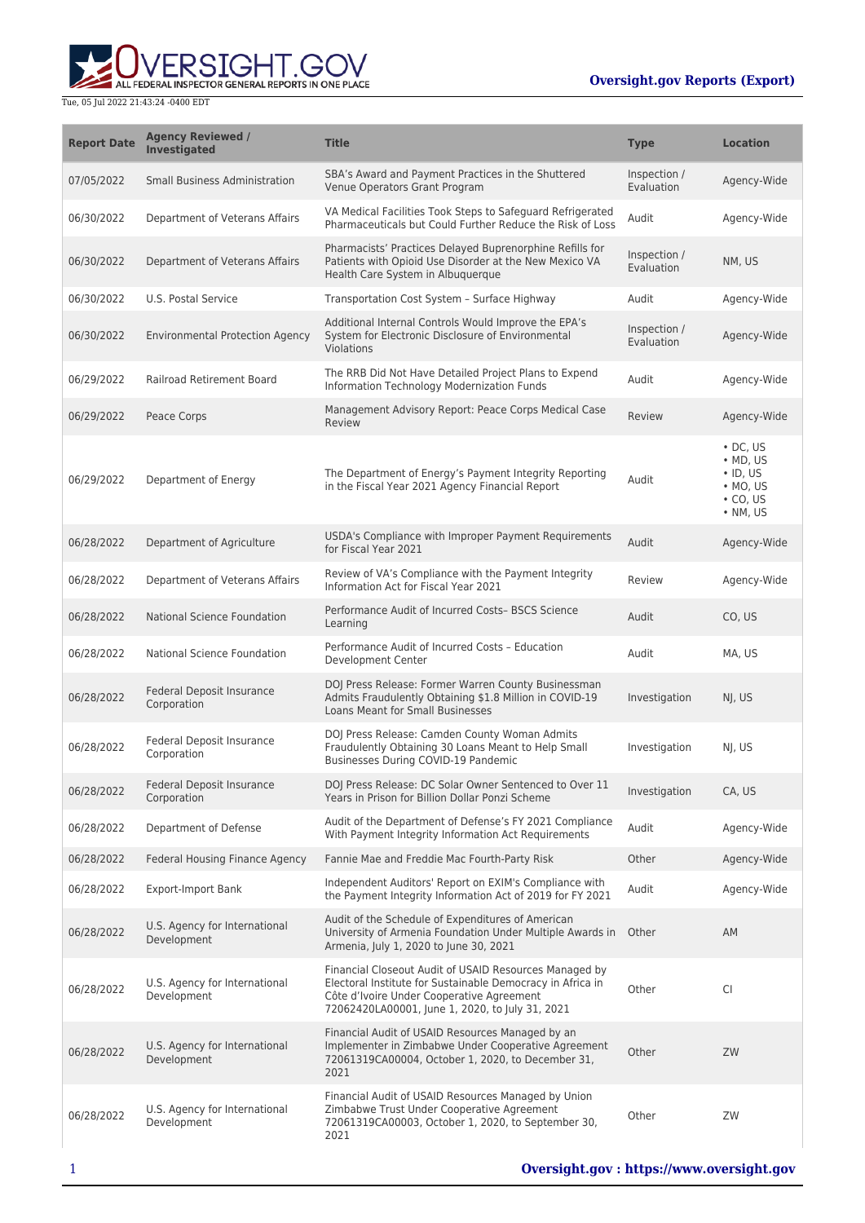**WERSIGHT.GOV** 

| <b>Report Date</b> | <b>Agency Reviewed /</b><br><b>Investigated</b> | <b>Title</b>                                                                                                                                                                                                         | <b>Type</b>                | <b>Location</b>                                                                                          |
|--------------------|-------------------------------------------------|----------------------------------------------------------------------------------------------------------------------------------------------------------------------------------------------------------------------|----------------------------|----------------------------------------------------------------------------------------------------------|
| 07/05/2022         | <b>Small Business Administration</b>            | SBA's Award and Payment Practices in the Shuttered<br>Venue Operators Grant Program                                                                                                                                  | Inspection /<br>Evaluation | Agency-Wide                                                                                              |
| 06/30/2022         | Department of Veterans Affairs                  | VA Medical Facilities Took Steps to Safeguard Refrigerated<br>Pharmaceuticals but Could Further Reduce the Risk of Loss                                                                                              | Audit                      | Agency-Wide                                                                                              |
| 06/30/2022         | Department of Veterans Affairs                  | Pharmacists' Practices Delayed Buprenorphine Refills for<br>Patients with Opioid Use Disorder at the New Mexico VA<br>Health Care System in Albuquerque                                                              | Inspection /<br>Evaluation | NM, US                                                                                                   |
| 06/30/2022         | U.S. Postal Service                             | Transportation Cost System - Surface Highway                                                                                                                                                                         | Audit                      | Agency-Wide                                                                                              |
| 06/30/2022         | <b>Environmental Protection Agency</b>          | Additional Internal Controls Would Improve the EPA's<br>System for Electronic Disclosure of Environmental<br>Violations                                                                                              | Inspection /<br>Evaluation | Agency-Wide                                                                                              |
| 06/29/2022         | Railroad Retirement Board                       | The RRB Did Not Have Detailed Project Plans to Expend<br>Information Technology Modernization Funds                                                                                                                  | Audit                      | Agency-Wide                                                                                              |
| 06/29/2022         | Peace Corps                                     | Management Advisory Report: Peace Corps Medical Case<br>Review                                                                                                                                                       | Review                     | Agency-Wide                                                                                              |
| 06/29/2022         | Department of Energy                            | The Department of Energy's Payment Integrity Reporting<br>in the Fiscal Year 2021 Agency Financial Report                                                                                                            | Audit                      | $\cdot$ DC, US<br>$\bullet$ MD, US<br>$\cdot$ ID, US<br>$·$ MO, US<br>$\cdot$ CO, US<br>$\bullet$ NM, US |
| 06/28/2022         | Department of Agriculture                       | USDA's Compliance with Improper Payment Requirements<br>for Fiscal Year 2021                                                                                                                                         | Audit                      | Agency-Wide                                                                                              |
| 06/28/2022         | Department of Veterans Affairs                  | Review of VA's Compliance with the Payment Integrity<br>Information Act for Fiscal Year 2021                                                                                                                         | Review                     | Agency-Wide                                                                                              |
| 06/28/2022         | National Science Foundation                     | Performance Audit of Incurred Costs- BSCS Science<br>Learning                                                                                                                                                        | Audit                      | CO, US                                                                                                   |
| 06/28/2022         | National Science Foundation                     | Performance Audit of Incurred Costs - Education<br>Development Center                                                                                                                                                | Audit                      | MA, US                                                                                                   |
| 06/28/2022         | Federal Deposit Insurance<br>Corporation        | DOJ Press Release: Former Warren County Businessman<br>Admits Fraudulently Obtaining \$1.8 Million in COVID-19<br>Loans Meant for Small Businesses                                                                   | Investigation              | NJ, US                                                                                                   |
| 06/28/2022         | Federal Deposit Insurance<br>Corporation        | DOJ Press Release: Camden County Woman Admits<br>Fraudulently Obtaining 30 Loans Meant to Help Small<br>Businesses During COVID-19 Pandemic                                                                          | Investigation              | NJ, US                                                                                                   |
| 06/28/2022         | Federal Deposit Insurance<br>Corporation        | DOJ Press Release: DC Solar Owner Sentenced to Over 11<br>Years in Prison for Billion Dollar Ponzi Scheme                                                                                                            | Investigation              | CA, US                                                                                                   |
| 06/28/2022         | Department of Defense                           | Audit of the Department of Defense's FY 2021 Compliance<br>With Payment Integrity Information Act Reguirements                                                                                                       | Audit                      | Agency-Wide                                                                                              |
| 06/28/2022         | Federal Housing Finance Agency                  | Fannie Mae and Freddie Mac Fourth-Party Risk                                                                                                                                                                         | Other                      | Agency-Wide                                                                                              |
| 06/28/2022         | Export-Import Bank                              | Independent Auditors' Report on EXIM's Compliance with<br>the Payment Integrity Information Act of 2019 for FY 2021                                                                                                  | Audit                      | Agency-Wide                                                                                              |
| 06/28/2022         | U.S. Agency for International<br>Development    | Audit of the Schedule of Expenditures of American<br>University of Armenia Foundation Under Multiple Awards in<br>Armenia, July 1, 2020 to June 30, 2021                                                             | Other                      | AM                                                                                                       |
| 06/28/2022         | U.S. Agency for International<br>Development    | Financial Closeout Audit of USAID Resources Managed by<br>Electoral Institute for Sustainable Democracy in Africa in<br>Côte d'Ivoire Under Cooperative Agreement<br>72062420LA00001, June 1, 2020, to July 31, 2021 | Other                      | CI                                                                                                       |
| 06/28/2022         | U.S. Agency for International<br>Development    | Financial Audit of USAID Resources Managed by an<br>Implementer in Zimbabwe Under Cooperative Agreement<br>72061319CA00004, October 1, 2020, to December 31,<br>2021                                                 | Other                      | ZW                                                                                                       |
| 06/28/2022         | U.S. Agency for International<br>Development    | Financial Audit of USAID Resources Managed by Union<br>Zimbabwe Trust Under Cooperative Agreement<br>72061319CA00003, October 1, 2020, to September 30,<br>2021                                                      | Other                      | ZW                                                                                                       |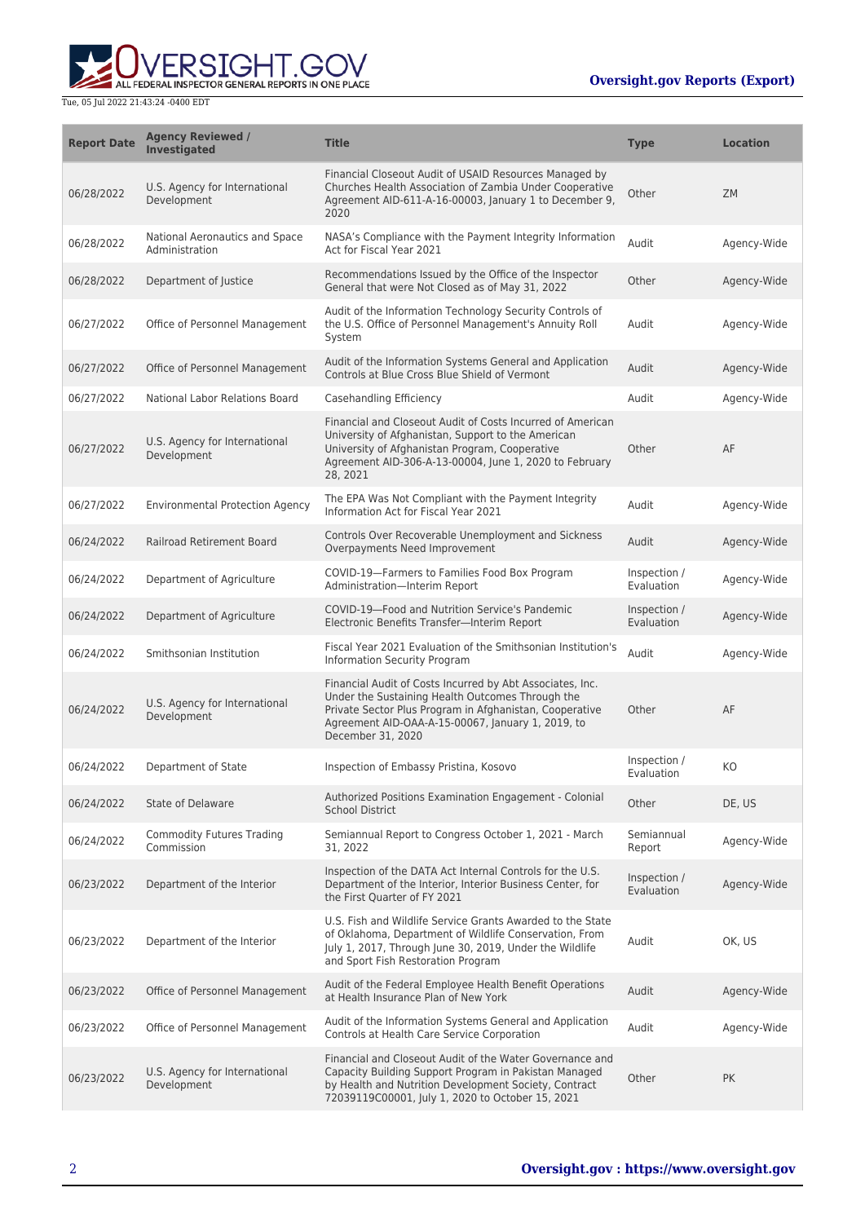ALL FEDERAL INSPECTOR GENERAL REPORTS IN ONE PLACE

| <b>Report Date</b> | <b>Agency Reviewed /</b><br><b>Investigated</b>  | <b>Title</b>                                                                                                                                                                                                                                       | <b>Type</b>                | <b>Location</b> |
|--------------------|--------------------------------------------------|----------------------------------------------------------------------------------------------------------------------------------------------------------------------------------------------------------------------------------------------------|----------------------------|-----------------|
| 06/28/2022         | U.S. Agency for International<br>Development     | Financial Closeout Audit of USAID Resources Managed by<br>Churches Health Association of Zambia Under Cooperative<br>Agreement AID-611-A-16-00003, January 1 to December 9,<br>2020                                                                | Other                      | <b>ZM</b>       |
| 06/28/2022         | National Aeronautics and Space<br>Administration | NASA's Compliance with the Payment Integrity Information<br>Act for Fiscal Year 2021                                                                                                                                                               | Audit                      | Agency-Wide     |
| 06/28/2022         | Department of Justice                            | Recommendations Issued by the Office of the Inspector<br>General that were Not Closed as of May 31, 2022                                                                                                                                           | Other                      | Agency-Wide     |
| 06/27/2022         | Office of Personnel Management                   | Audit of the Information Technology Security Controls of<br>the U.S. Office of Personnel Management's Annuity Roll<br>System                                                                                                                       | Audit                      | Agency-Wide     |
| 06/27/2022         | Office of Personnel Management                   | Audit of the Information Systems General and Application<br>Controls at Blue Cross Blue Shield of Vermont                                                                                                                                          | Audit                      | Agency-Wide     |
| 06/27/2022         | National Labor Relations Board                   | Casehandling Efficiency                                                                                                                                                                                                                            | Audit                      | Agency-Wide     |
| 06/27/2022         | U.S. Agency for International<br>Development     | Financial and Closeout Audit of Costs Incurred of American<br>University of Afghanistan, Support to the American<br>University of Afghanistan Program, Cooperative<br>Agreement AID-306-A-13-00004, June 1, 2020 to February<br>28, 2021           | Other                      | AF              |
| 06/27/2022         | <b>Environmental Protection Agency</b>           | The EPA Was Not Compliant with the Payment Integrity<br>Information Act for Fiscal Year 2021                                                                                                                                                       | Audit                      | Agency-Wide     |
| 06/24/2022         | Railroad Retirement Board                        | Controls Over Recoverable Unemployment and Sickness<br>Overpayments Need Improvement                                                                                                                                                               | Audit                      | Agency-Wide     |
| 06/24/2022         | Department of Agriculture                        | COVID-19-Farmers to Families Food Box Program<br>Administration-Interim Report                                                                                                                                                                     | Inspection /<br>Evaluation | Agency-Wide     |
| 06/24/2022         | Department of Agriculture                        | COVID-19-Food and Nutrition Service's Pandemic<br>Electronic Benefits Transfer-Interim Report                                                                                                                                                      | Inspection /<br>Evaluation | Agency-Wide     |
| 06/24/2022         | Smithsonian Institution                          | Fiscal Year 2021 Evaluation of the Smithsonian Institution's<br>Information Security Program                                                                                                                                                       | Audit                      | Agency-Wide     |
| 06/24/2022         | U.S. Agency for International<br>Development     | Financial Audit of Costs Incurred by Abt Associates, Inc.<br>Under the Sustaining Health Outcomes Through the<br>Private Sector Plus Program in Afghanistan, Cooperative<br>Agreement AID-OAA-A-15-00067, January 1, 2019, to<br>December 31, 2020 | Other                      | AF              |
| 06/24/2022         | Department of State                              | Inspection of Embassy Pristina, Kosovo                                                                                                                                                                                                             | Inspection /<br>Evaluation | KO              |
| 06/24/2022         | State of Delaware                                | Authorized Positions Examination Engagement - Colonial<br><b>School District</b>                                                                                                                                                                   | Other                      | DE, US          |
| 06/24/2022         | <b>Commodity Futures Trading</b><br>Commission   | Semiannual Report to Congress October 1, 2021 - March<br>31, 2022                                                                                                                                                                                  | Semiannual<br>Report       | Agency-Wide     |
| 06/23/2022         | Department of the Interior                       | Inspection of the DATA Act Internal Controls for the U.S.<br>Department of the Interior, Interior Business Center, for<br>the First Quarter of FY 2021                                                                                             | Inspection /<br>Evaluation | Agency-Wide     |
| 06/23/2022         | Department of the Interior                       | U.S. Fish and Wildlife Service Grants Awarded to the State<br>of Oklahoma, Department of Wildlife Conservation, From<br>July 1, 2017, Through June 30, 2019, Under the Wildlife<br>and Sport Fish Restoration Program                              | Audit                      | OK, US          |
| 06/23/2022         | Office of Personnel Management                   | Audit of the Federal Employee Health Benefit Operations<br>at Health Insurance Plan of New York                                                                                                                                                    | Audit                      | Agency-Wide     |
| 06/23/2022         | Office of Personnel Management                   | Audit of the Information Systems General and Application<br>Controls at Health Care Service Corporation                                                                                                                                            | Audit                      | Agency-Wide     |
| 06/23/2022         | U.S. Agency for International<br>Development     | Financial and Closeout Audit of the Water Governance and<br>Capacity Building Support Program in Pakistan Managed<br>by Health and Nutrition Development Society, Contract<br>72039119C00001, July 1, 2020 to October 15, 2021                     | Other                      | PK              |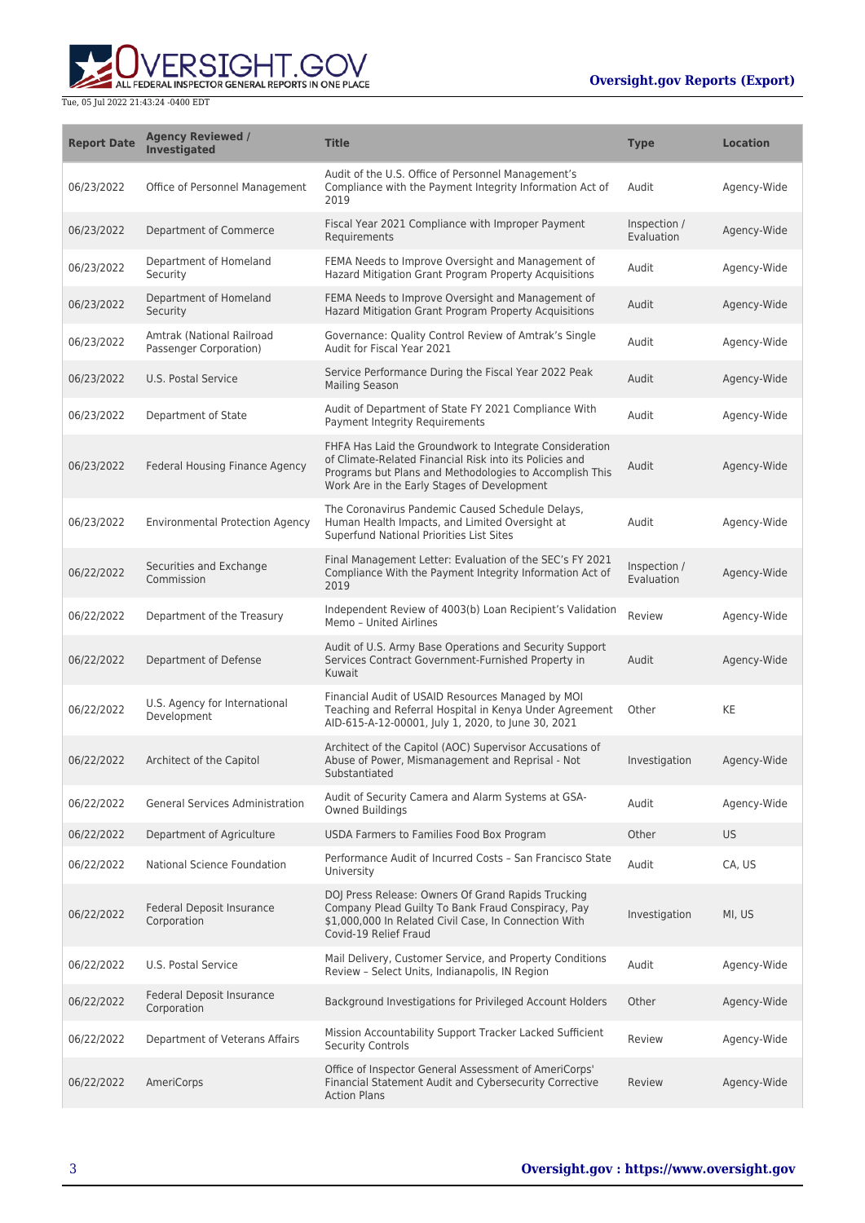

| <b>Report Date</b> | <b>Agency Reviewed /</b><br><b>Investigated</b>     | <b>Title</b>                                                                                                                                                                                                                 | <b>Type</b>                | <b>Location</b> |
|--------------------|-----------------------------------------------------|------------------------------------------------------------------------------------------------------------------------------------------------------------------------------------------------------------------------------|----------------------------|-----------------|
| 06/23/2022         | Office of Personnel Management                      | Audit of the U.S. Office of Personnel Management's<br>Compliance with the Payment Integrity Information Act of<br>2019                                                                                                       | Audit                      | Agency-Wide     |
| 06/23/2022         | Department of Commerce                              | Fiscal Year 2021 Compliance with Improper Payment<br>Requirements                                                                                                                                                            | Inspection /<br>Evaluation | Agency-Wide     |
| 06/23/2022         | Department of Homeland<br>Security                  | FEMA Needs to Improve Oversight and Management of<br>Hazard Mitigation Grant Program Property Acquisitions                                                                                                                   | Audit                      | Agency-Wide     |
| 06/23/2022         | Department of Homeland<br>Security                  | FEMA Needs to Improve Oversight and Management of<br>Hazard Mitigation Grant Program Property Acquisitions                                                                                                                   | Audit                      | Agency-Wide     |
| 06/23/2022         | Amtrak (National Railroad<br>Passenger Corporation) | Governance: Quality Control Review of Amtrak's Single<br>Audit for Fiscal Year 2021                                                                                                                                          | Audit                      | Agency-Wide     |
| 06/23/2022         | U.S. Postal Service                                 | Service Performance During the Fiscal Year 2022 Peak<br><b>Mailing Season</b>                                                                                                                                                | Audit                      | Agency-Wide     |
| 06/23/2022         | Department of State                                 | Audit of Department of State FY 2021 Compliance With<br>Payment Integrity Requirements                                                                                                                                       | Audit                      | Agency-Wide     |
| 06/23/2022         | Federal Housing Finance Agency                      | FHFA Has Laid the Groundwork to Integrate Consideration<br>of Climate-Related Financial Risk into its Policies and<br>Programs but Plans and Methodologies to Accomplish This<br>Work Are in the Early Stages of Development | Audit                      | Agency-Wide     |
| 06/23/2022         | <b>Environmental Protection Agency</b>              | The Coronavirus Pandemic Caused Schedule Delays,<br>Human Health Impacts, and Limited Oversight at<br>Superfund National Priorities List Sites                                                                               | Audit                      | Agency-Wide     |
| 06/22/2022         | Securities and Exchange<br>Commission               | Final Management Letter: Evaluation of the SEC's FY 2021<br>Compliance With the Payment Integrity Information Act of<br>2019                                                                                                 | Inspection /<br>Evaluation | Agency-Wide     |
| 06/22/2022         | Department of the Treasury                          | Independent Review of 4003(b) Loan Recipient's Validation<br>Memo - United Airlines                                                                                                                                          | Review                     | Agency-Wide     |
| 06/22/2022         | Department of Defense                               | Audit of U.S. Army Base Operations and Security Support<br>Services Contract Government-Furnished Property in<br>Kuwait                                                                                                      | Audit                      | Agency-Wide     |
| 06/22/2022         | U.S. Agency for International<br>Development        | Financial Audit of USAID Resources Managed by MOI<br>Teaching and Referral Hospital in Kenya Under Agreement<br>AID-615-A-12-00001, July 1, 2020, to June 30, 2021                                                           | Other                      | KE              |
| 06/22/2022         | Architect of the Capitol                            | Architect of the Capitol (AOC) Supervisor Accusations of<br>Abuse of Power, Mismanagement and Reprisal - Not<br>Substantiated                                                                                                | Investigation              | Agency-Wide     |
| 06/22/2022         | <b>General Services Administration</b>              | Audit of Security Camera and Alarm Systems at GSA-<br><b>Owned Buildings</b>                                                                                                                                                 | Audit                      | Agency-Wide     |
| 06/22/2022         | Department of Agriculture                           | USDA Farmers to Families Food Box Program                                                                                                                                                                                    | Other                      | US.             |
| 06/22/2022         | National Science Foundation                         | Performance Audit of Incurred Costs - San Francisco State<br>University                                                                                                                                                      | Audit                      | CA, US          |
| 06/22/2022         | Federal Deposit Insurance<br>Corporation            | DOJ Press Release: Owners Of Grand Rapids Trucking<br>Company Plead Guilty To Bank Fraud Conspiracy, Pay<br>\$1,000,000 In Related Civil Case, In Connection With<br>Covid-19 Relief Fraud                                   | Investigation              | MI, US          |
| 06/22/2022         | U.S. Postal Service                                 | Mail Delivery, Customer Service, and Property Conditions<br>Review - Select Units, Indianapolis, IN Region                                                                                                                   | Audit                      | Agency-Wide     |
| 06/22/2022         | Federal Deposit Insurance<br>Corporation            | Background Investigations for Privileged Account Holders                                                                                                                                                                     | Other                      | Agency-Wide     |
| 06/22/2022         | Department of Veterans Affairs                      | Mission Accountability Support Tracker Lacked Sufficient<br><b>Security Controls</b>                                                                                                                                         | Review                     | Agency-Wide     |
| 06/22/2022         | AmeriCorps                                          | Office of Inspector General Assessment of AmeriCorps'<br>Financial Statement Audit and Cybersecurity Corrective<br><b>Action Plans</b>                                                                                       | Review                     | Agency-Wide     |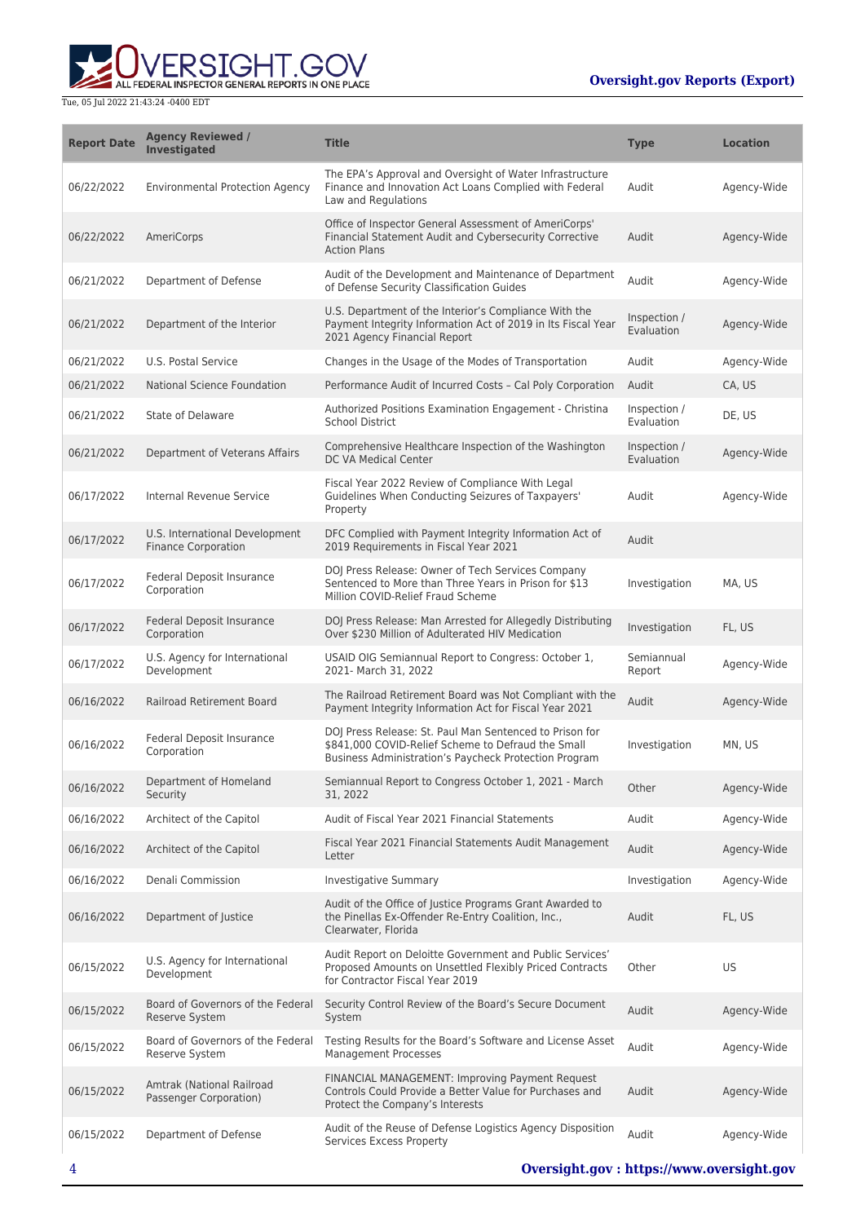ALL FEDERAL INSPECTOR GENERAL REPORTS IN ONE PLACE

| <b>Report Date</b> | <b>Agency Reviewed /</b><br><b>Investigated</b>              | <b>Title</b>                                                                                                                                                           | <b>Type</b>                | <b>Location</b> |
|--------------------|--------------------------------------------------------------|------------------------------------------------------------------------------------------------------------------------------------------------------------------------|----------------------------|-----------------|
| 06/22/2022         | <b>Environmental Protection Agency</b>                       | The EPA's Approval and Oversight of Water Infrastructure<br>Finance and Innovation Act Loans Complied with Federal<br>Law and Regulations                              | Audit                      | Agency-Wide     |
| 06/22/2022         | AmeriCorps                                                   | Office of Inspector General Assessment of AmeriCorps'<br>Financial Statement Audit and Cybersecurity Corrective<br><b>Action Plans</b>                                 | Audit                      | Agency-Wide     |
| 06/21/2022         | Department of Defense                                        | Audit of the Development and Maintenance of Department<br>of Defense Security Classification Guides                                                                    | Audit                      | Agency-Wide     |
| 06/21/2022         | Department of the Interior                                   | U.S. Department of the Interior's Compliance With the<br>Payment Integrity Information Act of 2019 in Its Fiscal Year<br>2021 Agency Financial Report                  | Inspection /<br>Evaluation | Agency-Wide     |
| 06/21/2022         | U.S. Postal Service                                          | Changes in the Usage of the Modes of Transportation                                                                                                                    | Audit                      | Agency-Wide     |
| 06/21/2022         | National Science Foundation                                  | Performance Audit of Incurred Costs - Cal Poly Corporation                                                                                                             | Audit                      | CA, US          |
| 06/21/2022         | State of Delaware                                            | Authorized Positions Examination Engagement - Christina<br>School District                                                                                             | Inspection /<br>Evaluation | DE, US          |
| 06/21/2022         | Department of Veterans Affairs                               | Comprehensive Healthcare Inspection of the Washington<br>DC VA Medical Center                                                                                          | Inspection /<br>Evaluation | Agency-Wide     |
| 06/17/2022         | Internal Revenue Service                                     | Fiscal Year 2022 Review of Compliance With Legal<br>Guidelines When Conducting Seizures of Taxpayers'<br>Property                                                      | Audit                      | Agency-Wide     |
| 06/17/2022         | U.S. International Development<br><b>Finance Corporation</b> | DFC Complied with Payment Integrity Information Act of<br>2019 Requirements in Fiscal Year 2021                                                                        | Audit                      |                 |
| 06/17/2022         | Federal Deposit Insurance<br>Corporation                     | DOJ Press Release: Owner of Tech Services Company<br>Sentenced to More than Three Years in Prison for \$13<br>Million COVID-Relief Fraud Scheme                        | Investigation              | MA, US          |
| 06/17/2022         | Federal Deposit Insurance<br>Corporation                     | DOJ Press Release: Man Arrested for Allegedly Distributing<br>Over \$230 Million of Adulterated HIV Medication                                                         | Investigation              | FL, US          |
| 06/17/2022         | U.S. Agency for International<br>Development                 | USAID OIG Semiannual Report to Congress: October 1,<br>2021- March 31, 2022                                                                                            | Semiannual<br>Report       | Agency-Wide     |
| 06/16/2022         | <b>Railroad Retirement Board</b>                             | The Railroad Retirement Board was Not Compliant with the<br>Payment Integrity Information Act for Fiscal Year 2021                                                     | Audit                      | Agency-Wide     |
| 06/16/2022         | Federal Deposit Insurance<br>Corporation                     | DOJ Press Release: St. Paul Man Sentenced to Prison for<br>\$841,000 COVID-Relief Scheme to Defraud the Small<br>Business Administration's Paycheck Protection Program | Investigation              | MN, US          |
| 06/16/2022         | Department of Homeland<br>Security                           | Semiannual Report to Congress October 1, 2021 - March<br>31, 2022                                                                                                      | Other                      | Agency-Wide     |
| 06/16/2022         | Architect of the Capitol                                     | Audit of Fiscal Year 2021 Financial Statements                                                                                                                         | Audit                      | Agency-Wide     |
| 06/16/2022         | Architect of the Capitol                                     | Fiscal Year 2021 Financial Statements Audit Management<br>Letter                                                                                                       | Audit                      | Agency-Wide     |
| 06/16/2022         | Denali Commission                                            | <b>Investigative Summary</b>                                                                                                                                           | Investigation              | Agency-Wide     |
| 06/16/2022         | Department of Justice                                        | Audit of the Office of Justice Programs Grant Awarded to<br>the Pinellas Ex-Offender Re-Entry Coalition, Inc.,<br>Clearwater, Florida                                  | Audit                      | FL, US          |
| 06/15/2022         | U.S. Agency for International<br>Development                 | Audit Report on Deloitte Government and Public Services'<br>Proposed Amounts on Unsettled Flexibly Priced Contracts<br>for Contractor Fiscal Year 2019                 | Other                      | US              |
| 06/15/2022         | Board of Governors of the Federal<br><b>Reserve System</b>   | Security Control Review of the Board's Secure Document<br>System                                                                                                       | Audit                      | Agency-Wide     |
| 06/15/2022         | Board of Governors of the Federal<br>Reserve System          | Testing Results for the Board's Software and License Asset<br><b>Management Processes</b>                                                                              | Audit                      | Agency-Wide     |
| 06/15/2022         | Amtrak (National Railroad<br>Passenger Corporation)          | FINANCIAL MANAGEMENT: Improving Payment Request<br>Controls Could Provide a Better Value for Purchases and<br>Protect the Company's Interests                          | Audit                      | Agency-Wide     |
| 06/15/2022         | Department of Defense                                        | Audit of the Reuse of Defense Logistics Agency Disposition<br>Services Excess Property                                                                                 | Audit                      | Agency-Wide     |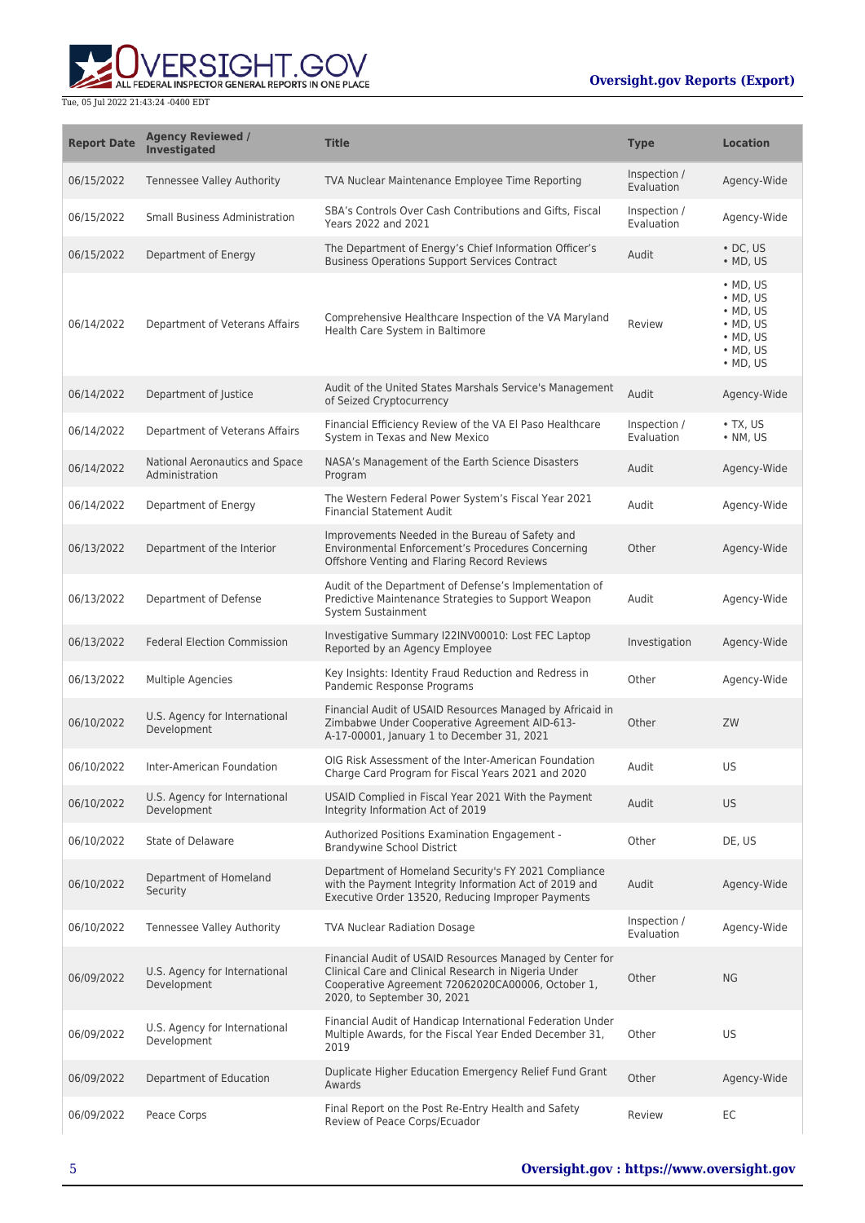

| <b>Report Date</b> | <b>Agency Reviewed /</b><br><b>Investigated</b>  | <b>Title</b>                                                                                                                                                                                         | <b>Type</b>                | <b>Location</b>                                                                                                                    |
|--------------------|--------------------------------------------------|------------------------------------------------------------------------------------------------------------------------------------------------------------------------------------------------------|----------------------------|------------------------------------------------------------------------------------------------------------------------------------|
| 06/15/2022         | Tennessee Valley Authority                       | TVA Nuclear Maintenance Employee Time Reporting                                                                                                                                                      | Inspection /<br>Evaluation | Agency-Wide                                                                                                                        |
| 06/15/2022         | <b>Small Business Administration</b>             | SBA's Controls Over Cash Contributions and Gifts, Fiscal<br>Years 2022 and 2021                                                                                                                      | Inspection /<br>Evaluation | Agency-Wide                                                                                                                        |
| 06/15/2022         | Department of Energy                             | The Department of Energy's Chief Information Officer's<br><b>Business Operations Support Services Contract</b>                                                                                       | Audit                      | $\cdot$ DC, US<br>$\bullet$ MD, US                                                                                                 |
| 06/14/2022         | Department of Veterans Affairs                   | Comprehensive Healthcare Inspection of the VA Maryland<br>Health Care System in Baltimore                                                                                                            | Review                     | $·$ MD, US<br>$\bullet$ MD, US<br>$\bullet$ MD, US<br>$\bullet$ MD, US<br>$\bullet$ MD, US<br>$\bullet$ MD, US<br>$\bullet$ MD, US |
| 06/14/2022         | Department of Justice                            | Audit of the United States Marshals Service's Management<br>of Seized Cryptocurrency                                                                                                                 | Audit                      | Agency-Wide                                                                                                                        |
| 06/14/2022         | Department of Veterans Affairs                   | Financial Efficiency Review of the VA El Paso Healthcare<br>System in Texas and New Mexico                                                                                                           | Inspection /<br>Evaluation | $\bullet$ TX, US<br>$\bullet$ NM, US                                                                                               |
| 06/14/2022         | National Aeronautics and Space<br>Administration | NASA's Management of the Earth Science Disasters<br>Program                                                                                                                                          | Audit                      | Agency-Wide                                                                                                                        |
| 06/14/2022         | Department of Energy                             | The Western Federal Power System's Fiscal Year 2021<br><b>Financial Statement Audit</b>                                                                                                              | Audit                      | Agency-Wide                                                                                                                        |
| 06/13/2022         | Department of the Interior                       | Improvements Needed in the Bureau of Safety and<br>Environmental Enforcement's Procedures Concerning<br>Offshore Venting and Flaring Record Reviews                                                  | Other                      | Agency-Wide                                                                                                                        |
| 06/13/2022         | Department of Defense                            | Audit of the Department of Defense's Implementation of<br>Predictive Maintenance Strategies to Support Weapon<br>System Sustainment                                                                  | Audit                      | Agency-Wide                                                                                                                        |
| 06/13/2022         | <b>Federal Election Commission</b>               | Investigative Summary I22INV00010: Lost FEC Laptop<br>Reported by an Agency Employee                                                                                                                 | Investigation              | Agency-Wide                                                                                                                        |
| 06/13/2022         | Multiple Agencies                                | Key Insights: Identity Fraud Reduction and Redress in<br>Pandemic Response Programs                                                                                                                  | Other                      | Agency-Wide                                                                                                                        |
| 06/10/2022         | U.S. Agency for International<br>Development     | Financial Audit of USAID Resources Managed by Africaid in<br>Zimbabwe Under Cooperative Agreement AID-613-<br>A-17-00001, January 1 to December 31, 2021                                             | Other                      | ZW                                                                                                                                 |
| 06/10/2022         | Inter-American Foundation                        | OIG Risk Assessment of the Inter-American Foundation<br>Charge Card Program for Fiscal Years 2021 and 2020                                                                                           | Audit                      | US                                                                                                                                 |
| 06/10/2022         | U.S. Agency for International<br>Development     | USAID Complied in Fiscal Year 2021 With the Payment<br>Integrity Information Act of 2019                                                                                                             | Audit                      | <b>US</b>                                                                                                                          |
| 06/10/2022         | State of Delaware                                | Authorized Positions Examination Engagement -<br><b>Brandywine School District</b>                                                                                                                   | Other                      | DE, US                                                                                                                             |
| 06/10/2022         | Department of Homeland<br>Security               | Department of Homeland Security's FY 2021 Compliance<br>with the Payment Integrity Information Act of 2019 and<br>Executive Order 13520, Reducing Improper Payments                                  | Audit                      | Agency-Wide                                                                                                                        |
| 06/10/2022         | Tennessee Valley Authority                       | <b>TVA Nuclear Radiation Dosage</b>                                                                                                                                                                  | Inspection /<br>Evaluation | Agency-Wide                                                                                                                        |
| 06/09/2022         | U.S. Agency for International<br>Development     | Financial Audit of USAID Resources Managed by Center for<br>Clinical Care and Clinical Research in Nigeria Under<br>Cooperative Agreement 72062020CA00006, October 1,<br>2020, to September 30, 2021 | Other                      | <b>NG</b>                                                                                                                          |
| 06/09/2022         | U.S. Agency for International<br>Development     | Financial Audit of Handicap International Federation Under<br>Multiple Awards, for the Fiscal Year Ended December 31,<br>2019                                                                        | Other                      | US                                                                                                                                 |
| 06/09/2022         | Department of Education                          | Duplicate Higher Education Emergency Relief Fund Grant<br>Awards                                                                                                                                     | Other                      | Agency-Wide                                                                                                                        |
| 06/09/2022         | Peace Corps                                      | Final Report on the Post Re-Entry Health and Safety<br>Review of Peace Corps/Ecuador                                                                                                                 | Review                     | EC                                                                                                                                 |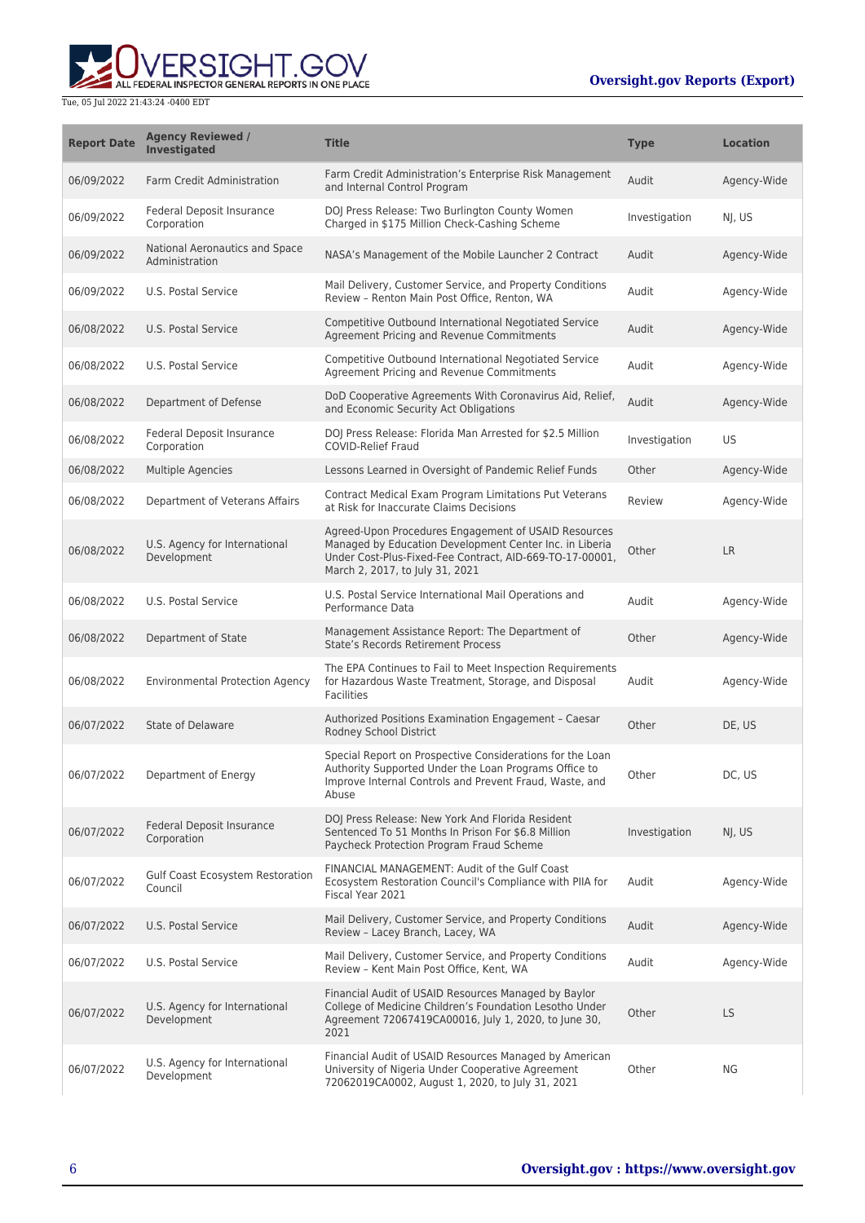

| <b>Report Date</b> | <b>Agency Reviewed /</b><br><b>Investigated</b>    | <b>Title</b>                                                                                                                                                                                                   | <b>Type</b>   | <b>Location</b> |
|--------------------|----------------------------------------------------|----------------------------------------------------------------------------------------------------------------------------------------------------------------------------------------------------------------|---------------|-----------------|
| 06/09/2022         | Farm Credit Administration                         | Farm Credit Administration's Enterprise Risk Management<br>and Internal Control Program                                                                                                                        | Audit         | Agency-Wide     |
| 06/09/2022         | Federal Deposit Insurance<br>Corporation           | DOJ Press Release: Two Burlington County Women<br>Charged in \$175 Million Check-Cashing Scheme                                                                                                                | Investigation | NJ, US          |
| 06/09/2022         | National Aeronautics and Space<br>Administration   | NASA's Management of the Mobile Launcher 2 Contract                                                                                                                                                            | Audit         | Agency-Wide     |
| 06/09/2022         | U.S. Postal Service                                | Mail Delivery, Customer Service, and Property Conditions<br>Review - Renton Main Post Office, Renton, WA                                                                                                       | Audit         | Agency-Wide     |
| 06/08/2022         | U.S. Postal Service                                | Competitive Outbound International Negotiated Service<br>Agreement Pricing and Revenue Commitments                                                                                                             | Audit         | Agency-Wide     |
| 06/08/2022         | U.S. Postal Service                                | Competitive Outbound International Negotiated Service<br>Agreement Pricing and Revenue Commitments                                                                                                             | Audit         | Agency-Wide     |
| 06/08/2022         | Department of Defense                              | DoD Cooperative Agreements With Coronavirus Aid, Relief,<br>and Economic Security Act Obligations                                                                                                              | Audit         | Agency-Wide     |
| 06/08/2022         | <b>Federal Deposit Insurance</b><br>Corporation    | DOJ Press Release: Florida Man Arrested for \$2.5 Million<br><b>COVID-Relief Fraud</b>                                                                                                                         | Investigation | US              |
| 06/08/2022         | Multiple Agencies                                  | Lessons Learned in Oversight of Pandemic Relief Funds                                                                                                                                                          | Other         | Agency-Wide     |
| 06/08/2022         | Department of Veterans Affairs                     | Contract Medical Exam Program Limitations Put Veterans<br>at Risk for Inaccurate Claims Decisions                                                                                                              | Review        | Agency-Wide     |
| 06/08/2022         | U.S. Agency for International<br>Development       | Agreed-Upon Procedures Engagement of USAID Resources<br>Managed by Education Development Center Inc. in Liberia<br>Under Cost-Plus-Fixed-Fee Contract, AID-669-TO-17-00001,<br>March 2, 2017, to July 31, 2021 | Other         | <b>LR</b>       |
| 06/08/2022         | U.S. Postal Service                                | U.S. Postal Service International Mail Operations and<br>Performance Data                                                                                                                                      | Audit         | Agency-Wide     |
| 06/08/2022         | Department of State                                | Management Assistance Report: The Department of<br><b>State's Records Retirement Process</b>                                                                                                                   | Other         | Agency-Wide     |
| 06/08/2022         | <b>Environmental Protection Agency</b>             | The EPA Continues to Fail to Meet Inspection Requirements<br>for Hazardous Waste Treatment, Storage, and Disposal<br><b>Facilities</b>                                                                         | Audit         | Agency-Wide     |
| 06/07/2022         | <b>State of Delaware</b>                           | Authorized Positions Examination Engagement - Caesar<br>Rodney School District                                                                                                                                 | Other         | DE, US          |
| 06/07/2022         | Department of Energy                               | Special Report on Prospective Considerations for the Loan<br>Authority Supported Under the Loan Programs Office to<br>Improve Internal Controls and Prevent Fraud, Waste, and<br>Abuse                         | Other         | DC, US          |
| 06/07/2022         | Federal Deposit Insurance<br>Corporation           | DOJ Press Release: New York And Florida Resident<br>Sentenced To 51 Months In Prison For \$6.8 Million<br>Paycheck Protection Program Fraud Scheme                                                             | Investigation | NJ, US          |
| 06/07/2022         | <b>Gulf Coast Ecosystem Restoration</b><br>Council | FINANCIAL MANAGEMENT: Audit of the Gulf Coast<br>Ecosystem Restoration Council's Compliance with PIIA for<br>Fiscal Year 2021                                                                                  | Audit         | Agency-Wide     |
| 06/07/2022         | U.S. Postal Service                                | Mail Delivery, Customer Service, and Property Conditions<br>Review - Lacey Branch, Lacey, WA                                                                                                                   | Audit         | Agency-Wide     |
| 06/07/2022         | U.S. Postal Service                                | Mail Delivery, Customer Service, and Property Conditions<br>Review - Kent Main Post Office, Kent, WA                                                                                                           | Audit         | Agency-Wide     |
| 06/07/2022         | U.S. Agency for International<br>Development       | Financial Audit of USAID Resources Managed by Baylor<br>College of Medicine Children's Foundation Lesotho Under<br>Agreement 72067419CA00016, July 1, 2020, to June 30,<br>2021                                | Other         | LS              |
| 06/07/2022         | U.S. Agency for International<br>Development       | Financial Audit of USAID Resources Managed by American<br>University of Nigeria Under Cooperative Agreement<br>72062019CA0002, August 1, 2020, to July 31, 2021                                                | Other         | ΝG              |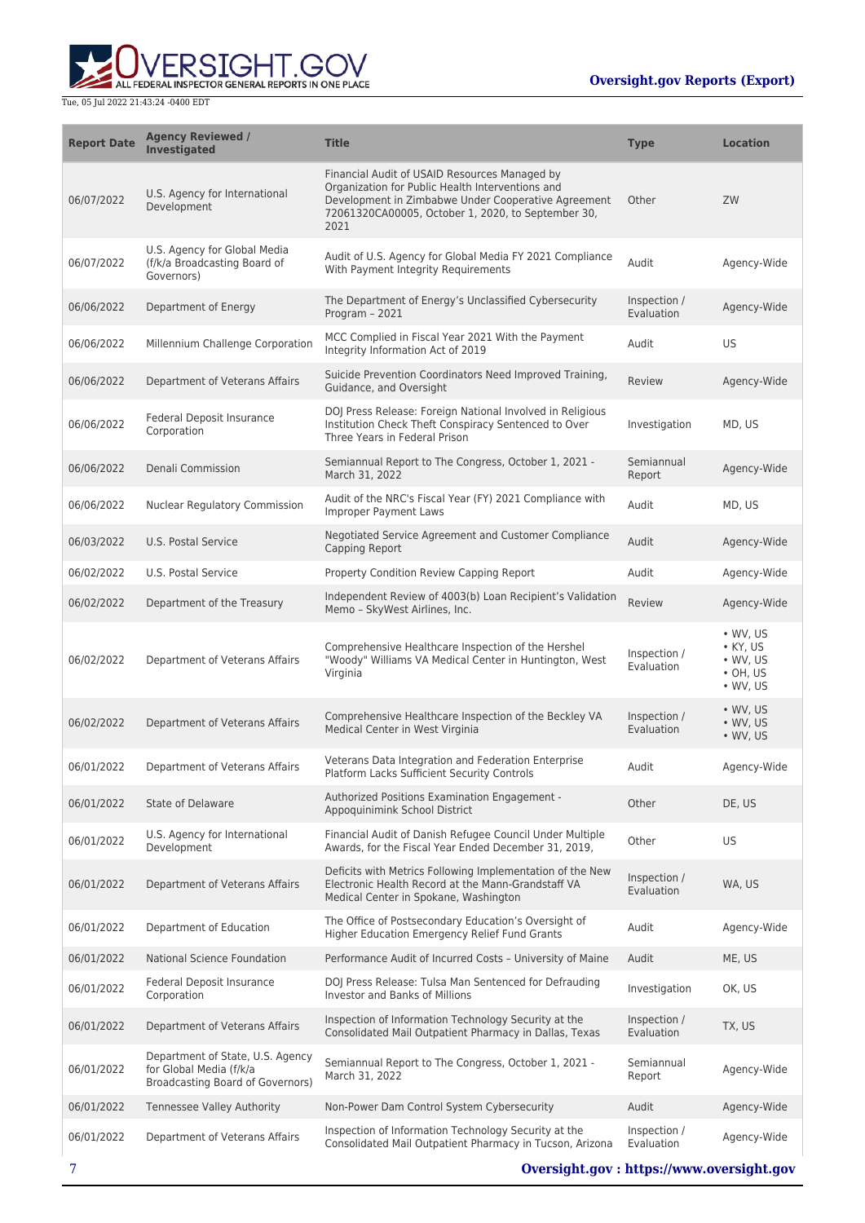

| <b>Report Date</b> | <b>Agency Reviewed /</b><br><b>Investigated</b>                                                 | <b>Title</b>                                                                                                                                                                                                           | <b>Type</b>                | <b>Location</b>                                                                                |
|--------------------|-------------------------------------------------------------------------------------------------|------------------------------------------------------------------------------------------------------------------------------------------------------------------------------------------------------------------------|----------------------------|------------------------------------------------------------------------------------------------|
| 06/07/2022         | U.S. Agency for International<br>Development                                                    | Financial Audit of USAID Resources Managed by<br>Organization for Public Health Interventions and<br>Development in Zimbabwe Under Cooperative Agreement<br>72061320CA00005, October 1, 2020, to September 30,<br>2021 | Other                      | ZW                                                                                             |
| 06/07/2022         | U.S. Agency for Global Media<br>(f/k/a Broadcasting Board of<br>Governors)                      | Audit of U.S. Agency for Global Media FY 2021 Compliance<br>With Payment Integrity Requirements                                                                                                                        | Audit                      | Agency-Wide                                                                                    |
| 06/06/2022         | Department of Energy                                                                            | The Department of Energy's Unclassified Cybersecurity<br>Program - 2021                                                                                                                                                | Inspection /<br>Evaluation | Agency-Wide                                                                                    |
| 06/06/2022         | Millennium Challenge Corporation                                                                | MCC Complied in Fiscal Year 2021 With the Payment<br>Integrity Information Act of 2019                                                                                                                                 | Audit                      | US                                                                                             |
| 06/06/2022         | Department of Veterans Affairs                                                                  | Suicide Prevention Coordinators Need Improved Training,<br>Guidance, and Oversight                                                                                                                                     | Review                     | Agency-Wide                                                                                    |
| 06/06/2022         | Federal Deposit Insurance<br>Corporation                                                        | DOJ Press Release: Foreign National Involved in Religious<br>Institution Check Theft Conspiracy Sentenced to Over<br>Three Years in Federal Prison                                                                     | Investigation              | MD, US                                                                                         |
| 06/06/2022         | Denali Commission                                                                               | Semiannual Report to The Congress, October 1, 2021 -<br>March 31, 2022                                                                                                                                                 | Semiannual<br>Report       | Agency-Wide                                                                                    |
| 06/06/2022         | <b>Nuclear Regulatory Commission</b>                                                            | Audit of the NRC's Fiscal Year (FY) 2021 Compliance with<br><b>Improper Payment Laws</b>                                                                                                                               | Audit                      | MD, US                                                                                         |
| 06/03/2022         | U.S. Postal Service                                                                             | Negotiated Service Agreement and Customer Compliance<br>Capping Report                                                                                                                                                 | Audit                      | Agency-Wide                                                                                    |
| 06/02/2022         | U.S. Postal Service                                                                             | Property Condition Review Capping Report                                                                                                                                                                               | Audit                      | Agency-Wide                                                                                    |
| 06/02/2022         | Department of the Treasury                                                                      | Independent Review of 4003(b) Loan Recipient's Validation<br>Memo - SkyWest Airlines, Inc.                                                                                                                             | Review                     | Agency-Wide                                                                                    |
| 06/02/2022         | Department of Veterans Affairs                                                                  | Comprehensive Healthcare Inspection of the Hershel<br>"Woody" Williams VA Medical Center in Huntington, West<br>Virginia                                                                                               | Inspection /<br>Evaluation | $\bullet$ WV, US<br>$\bullet$ KY, US<br>$\bullet$ WV, US<br>$\cdot$ OH, US<br>$\bullet$ WV, US |
| 06/02/2022         | Department of Veterans Affairs                                                                  | Comprehensive Healthcare Inspection of the Beckley VA<br>Medical Center in West Virginia                                                                                                                               | Inspection /<br>Evaluation | • WV, US<br>• WV, US<br>$\bullet$ WV, US                                                       |
| 06/01/2022         | Department of Veterans Affairs                                                                  | Veterans Data Integration and Federation Enterprise<br>Platform Lacks Sufficient Security Controls                                                                                                                     | Audit                      | Agency-Wide                                                                                    |
| 06/01/2022         | State of Delaware                                                                               | Authorized Positions Examination Engagement -<br>Appoquinimink School District                                                                                                                                         | Other                      | DE, US                                                                                         |
| 06/01/2022         | U.S. Agency for International<br>Development                                                    | Financial Audit of Danish Refugee Council Under Multiple<br>Awards, for the Fiscal Year Ended December 31, 2019,                                                                                                       | Other                      | US                                                                                             |
| 06/01/2022         | Department of Veterans Affairs                                                                  | Deficits with Metrics Following Implementation of the New<br>Electronic Health Record at the Mann-Grandstaff VA<br>Medical Center in Spokane, Washington                                                               | Inspection /<br>Evaluation | WA, US                                                                                         |
| 06/01/2022         | Department of Education                                                                         | The Office of Postsecondary Education's Oversight of<br>Higher Education Emergency Relief Fund Grants                                                                                                                  | Audit                      | Agency-Wide                                                                                    |
| 06/01/2022         | National Science Foundation                                                                     | Performance Audit of Incurred Costs - University of Maine                                                                                                                                                              | Audit                      | ME, US                                                                                         |
| 06/01/2022         | Federal Deposit Insurance<br>Corporation                                                        | DOJ Press Release: Tulsa Man Sentenced for Defrauding<br>Investor and Banks of Millions                                                                                                                                | Investigation              | OK, US                                                                                         |
| 06/01/2022         | Department of Veterans Affairs                                                                  | Inspection of Information Technology Security at the<br>Consolidated Mail Outpatient Pharmacy in Dallas, Texas                                                                                                         | Inspection /<br>Evaluation | TX, US                                                                                         |
| 06/01/2022         | Department of State, U.S. Agency<br>for Global Media (f/k/a<br>Broadcasting Board of Governors) | Semiannual Report to The Congress, October 1, 2021 -<br>March 31, 2022                                                                                                                                                 | Semiannual<br>Report       | Agency-Wide                                                                                    |
| 06/01/2022         | <b>Tennessee Valley Authority</b>                                                               | Non-Power Dam Control System Cybersecurity                                                                                                                                                                             | Audit                      | Agency-Wide                                                                                    |
| 06/01/2022         | Department of Veterans Affairs                                                                  | Inspection of Information Technology Security at the<br>Consolidated Mail Outpatient Pharmacy in Tucson, Arizona                                                                                                       | Inspection /<br>Evaluation | Agency-Wide                                                                                    |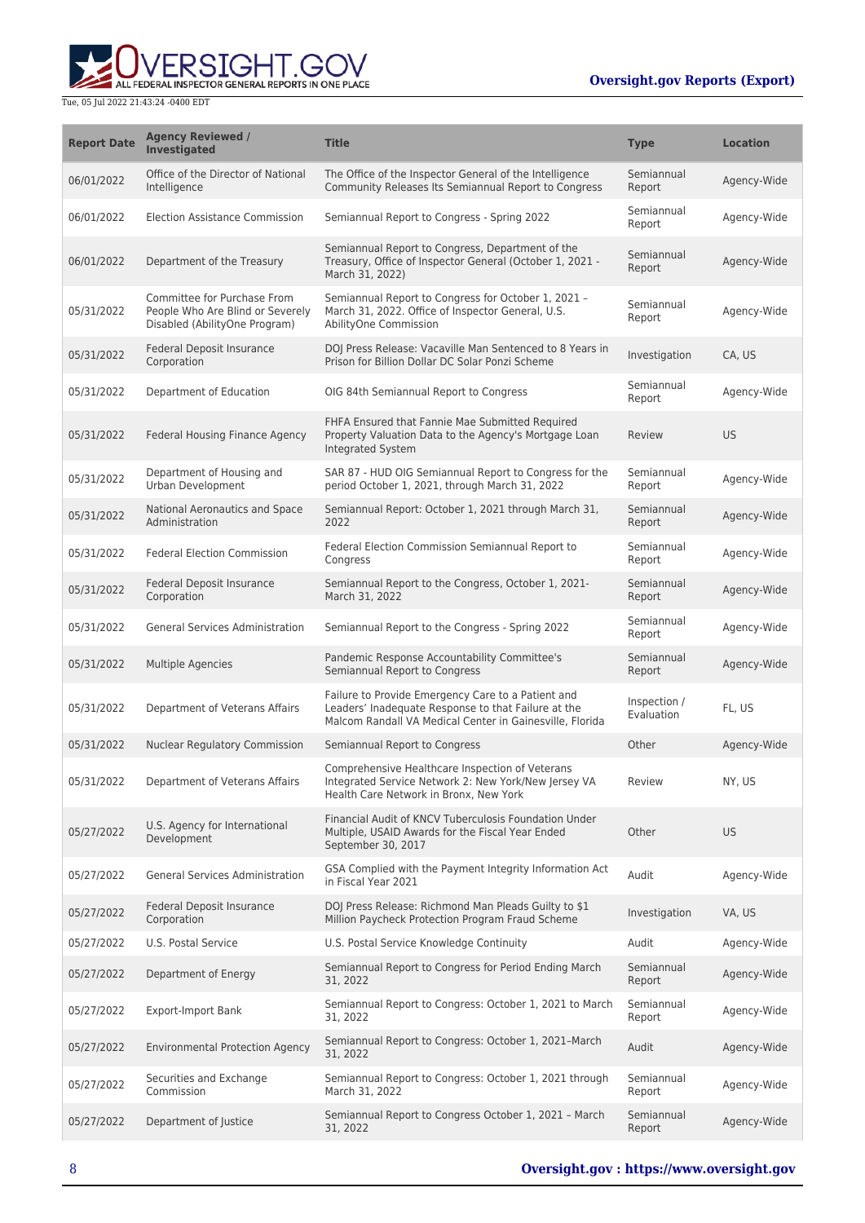

| <b>Report Date</b> | <b>Agency Reviewed /</b><br><b>Investigated</b>                                                  | <b>Title</b>                                                                                                                                                          | <b>Type</b>                | <b>Location</b> |
|--------------------|--------------------------------------------------------------------------------------------------|-----------------------------------------------------------------------------------------------------------------------------------------------------------------------|----------------------------|-----------------|
| 06/01/2022         | Office of the Director of National<br>Intelligence                                               | The Office of the Inspector General of the Intelligence<br>Community Releases Its Semiannual Report to Congress                                                       | Semiannual<br>Report       | Agency-Wide     |
| 06/01/2022         | <b>Election Assistance Commission</b>                                                            | Semiannual Report to Congress - Spring 2022                                                                                                                           | Semiannual<br>Report       | Agency-Wide     |
| 06/01/2022         | Department of the Treasury                                                                       | Semiannual Report to Congress, Department of the<br>Treasury, Office of Inspector General (October 1, 2021 -<br>March 31, 2022)                                       | Semiannual<br>Report       | Agency-Wide     |
| 05/31/2022         | Committee for Purchase From<br>People Who Are Blind or Severely<br>Disabled (AbilityOne Program) | Semiannual Report to Congress for October 1, 2021 -<br>March 31, 2022. Office of Inspector General, U.S.<br>AbilityOne Commission                                     | Semiannual<br>Report       | Agency-Wide     |
| 05/31/2022         | Federal Deposit Insurance<br>Corporation                                                         | DOJ Press Release: Vacaville Man Sentenced to 8 Years in<br>Prison for Billion Dollar DC Solar Ponzi Scheme                                                           | Investigation              | CA, US          |
| 05/31/2022         | Department of Education                                                                          | OIG 84th Semiannual Report to Congress                                                                                                                                | Semiannual<br>Report       | Agency-Wide     |
| 05/31/2022         | Federal Housing Finance Agency                                                                   | FHFA Ensured that Fannie Mae Submitted Required<br>Property Valuation Data to the Agency's Mortgage Loan<br>Integrated System                                         | Review                     | <b>US</b>       |
| 05/31/2022         | Department of Housing and<br>Urban Development                                                   | SAR 87 - HUD OIG Semiannual Report to Congress for the<br>period October 1, 2021, through March 31, 2022                                                              | Semiannual<br>Report       | Agency-Wide     |
| 05/31/2022         | National Aeronautics and Space<br>Administration                                                 | Semiannual Report: October 1, 2021 through March 31,<br>2022                                                                                                          | Semiannual<br>Report       | Agency-Wide     |
| 05/31/2022         | <b>Federal Election Commission</b>                                                               | Federal Election Commission Semiannual Report to<br>Congress                                                                                                          | Semiannual<br>Report       | Agency-Wide     |
| 05/31/2022         | Federal Deposit Insurance<br>Corporation                                                         | Semiannual Report to the Congress, October 1, 2021-<br>March 31, 2022                                                                                                 | Semiannual<br>Report       | Agency-Wide     |
| 05/31/2022         | General Services Administration                                                                  | Semiannual Report to the Congress - Spring 2022                                                                                                                       | Semiannual<br>Report       | Agency-Wide     |
| 05/31/2022         | <b>Multiple Agencies</b>                                                                         | Pandemic Response Accountability Committee's<br>Semiannual Report to Congress                                                                                         | Semiannual<br>Report       | Agency-Wide     |
| 05/31/2022         | Department of Veterans Affairs                                                                   | Failure to Provide Emergency Care to a Patient and<br>Leaders' Inadequate Response to that Failure at the<br>Malcom Randall VA Medical Center in Gainesville, Florida | Inspection /<br>Evaluation | FL, US          |
| 05/31/2022         | Nuclear Regulatory Commission                                                                    | Semiannual Report to Congress                                                                                                                                         | Other                      | Agency-Wide     |
| 05/31/2022         | Department of Veterans Affairs                                                                   | Comprehensive Healthcare Inspection of Veterans<br>Integrated Service Network 2: New York/New Jersey VA<br>Health Care Network in Bronx, New York                     | Review                     | NY, US          |
| 05/27/2022         | U.S. Agency for International<br>Development                                                     | Financial Audit of KNCV Tuberculosis Foundation Under<br>Multiple, USAID Awards for the Fiscal Year Ended<br>September 30, 2017                                       | Other                      | <b>US</b>       |
| 05/27/2022         | <b>General Services Administration</b>                                                           | GSA Complied with the Payment Integrity Information Act<br>in Fiscal Year 2021                                                                                        | Audit                      | Agency-Wide     |
| 05/27/2022         | Federal Deposit Insurance<br>Corporation                                                         | DOJ Press Release: Richmond Man Pleads Guilty to \$1<br>Million Paycheck Protection Program Fraud Scheme                                                              | Investigation              | VA, US          |
| 05/27/2022         | U.S. Postal Service                                                                              | U.S. Postal Service Knowledge Continuity                                                                                                                              | Audit                      | Agency-Wide     |
| 05/27/2022         | Department of Energy                                                                             | Semiannual Report to Congress for Period Ending March<br>31, 2022                                                                                                     | Semiannual<br>Report       | Agency-Wide     |
| 05/27/2022         | <b>Export-Import Bank</b>                                                                        | Semiannual Report to Congress: October 1, 2021 to March<br>31, 2022                                                                                                   | Semiannual<br>Report       | Agency-Wide     |
| 05/27/2022         | <b>Environmental Protection Agency</b>                                                           | Semiannual Report to Congress: October 1, 2021-March<br>31, 2022                                                                                                      | Audit                      | Agency-Wide     |
| 05/27/2022         | Securities and Exchange<br>Commission                                                            | Semiannual Report to Congress: October 1, 2021 through<br>March 31, 2022                                                                                              | Semiannual<br>Report       | Agency-Wide     |
| 05/27/2022         | Department of Justice                                                                            | Semiannual Report to Congress October 1, 2021 - March<br>31, 2022                                                                                                     | Semiannual<br>Report       | Agency-Wide     |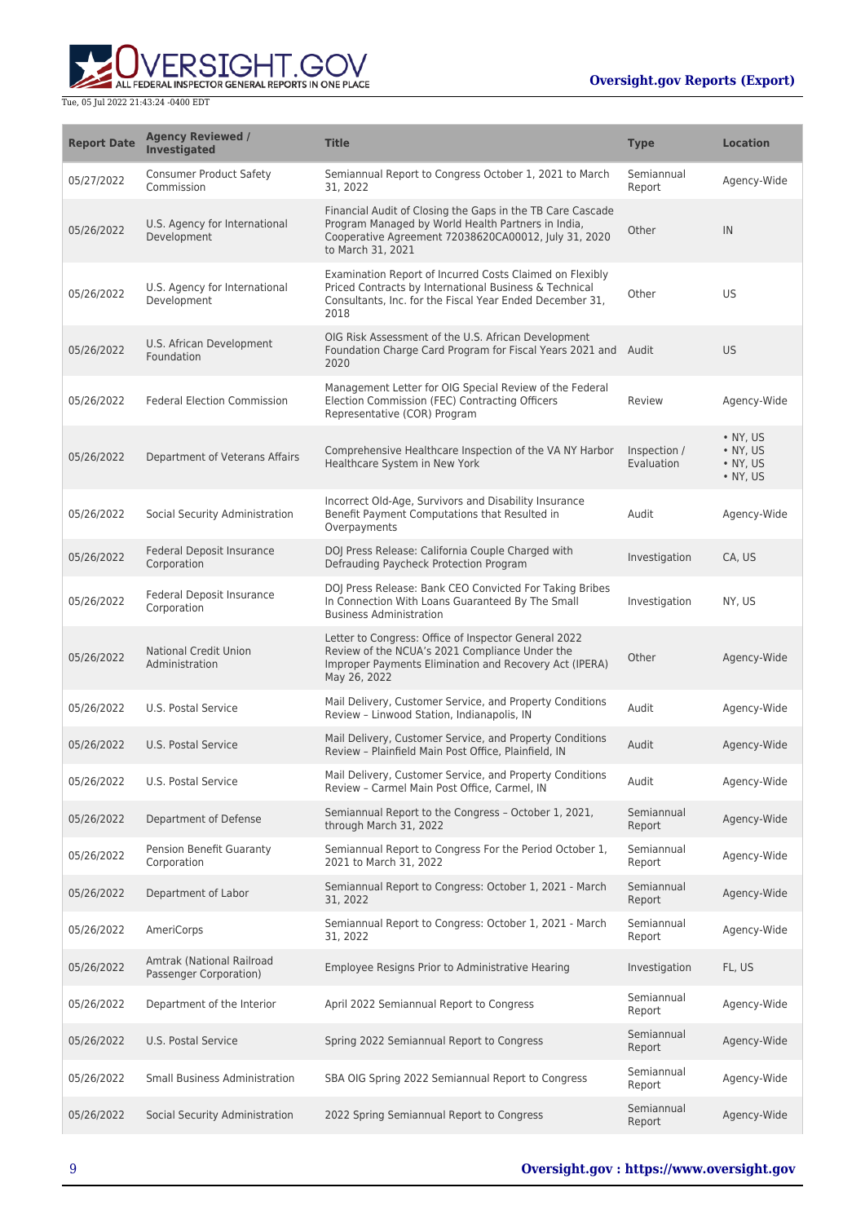

| <b>Report Date</b> | <b>Agency Reviewed /</b><br>Investigated            | <b>Title</b>                                                                                                                                                                                  | <b>Type</b>                | <b>Location</b>                                                    |
|--------------------|-----------------------------------------------------|-----------------------------------------------------------------------------------------------------------------------------------------------------------------------------------------------|----------------------------|--------------------------------------------------------------------|
| 05/27/2022         | <b>Consumer Product Safety</b><br>Commission        | Semiannual Report to Congress October 1, 2021 to March<br>31, 2022                                                                                                                            | Semiannual<br>Report       | Agency-Wide                                                        |
| 05/26/2022         | U.S. Agency for International<br>Development        | Financial Audit of Closing the Gaps in the TB Care Cascade<br>Program Managed by World Health Partners in India,<br>Cooperative Agreement 72038620CA00012, July 31, 2020<br>to March 31, 2021 | Other                      | IN                                                                 |
| 05/26/2022         | U.S. Agency for International<br>Development        | Examination Report of Incurred Costs Claimed on Flexibly<br>Priced Contracts by International Business & Technical<br>Consultants, Inc. for the Fiscal Year Ended December 31,<br>2018        | Other                      | US                                                                 |
| 05/26/2022         | U.S. African Development<br>Foundation              | OIG Risk Assessment of the U.S. African Development<br>Foundation Charge Card Program for Fiscal Years 2021 and Audit<br>2020                                                                 |                            | <b>US</b>                                                          |
| 05/26/2022         | <b>Federal Election Commission</b>                  | Management Letter for OIG Special Review of the Federal<br>Election Commission (FEC) Contracting Officers<br>Representative (COR) Program                                                     | Review                     | Agency-Wide                                                        |
| 05/26/2022         | Department of Veterans Affairs                      | Comprehensive Healthcare Inspection of the VA NY Harbor<br>Healthcare System in New York                                                                                                      | Inspection /<br>Evaluation | $\cdot$ NY. US<br>• NY, US<br>$\bullet$ NY, US<br>$\bullet$ NY, US |
| 05/26/2022         | Social Security Administration                      | Incorrect Old-Age, Survivors and Disability Insurance<br>Benefit Payment Computations that Resulted in<br>Overpayments                                                                        | Audit                      | Agency-Wide                                                        |
| 05/26/2022         | Federal Deposit Insurance<br>Corporation            | DOJ Press Release: California Couple Charged with<br>Defrauding Paycheck Protection Program                                                                                                   | Investigation              | CA, US                                                             |
| 05/26/2022         | Federal Deposit Insurance<br>Corporation            | DOJ Press Release: Bank CEO Convicted For Taking Bribes<br>In Connection With Loans Guaranteed By The Small<br><b>Business Administration</b>                                                 | Investigation              | NY, US                                                             |
| 05/26/2022         | <b>National Credit Union</b><br>Administration      | Letter to Congress: Office of Inspector General 2022<br>Review of the NCUA's 2021 Compliance Under the<br>Improper Payments Elimination and Recovery Act (IPERA)<br>May 26, 2022              | Other                      | Agency-Wide                                                        |
| 05/26/2022         | U.S. Postal Service                                 | Mail Delivery, Customer Service, and Property Conditions<br>Review - Linwood Station, Indianapolis, IN                                                                                        | Audit                      | Agency-Wide                                                        |
| 05/26/2022         | U.S. Postal Service                                 | Mail Delivery, Customer Service, and Property Conditions<br>Review - Plainfield Main Post Office, Plainfield, IN                                                                              | Audit                      | Agency-Wide                                                        |
| 05/26/2022         | U.S. Postal Service                                 | Mail Delivery, Customer Service, and Property Conditions<br>Review - Carmel Main Post Office, Carmel, IN                                                                                      | Audit                      | Agency-Wide                                                        |
| 05/26/2022         | Department of Defense                               | Semiannual Report to the Congress - October 1, 2021,<br>through March 31, 2022                                                                                                                | Semiannual<br>Report       | Agency-Wide                                                        |
| 05/26/2022         | Pension Benefit Guaranty<br>Corporation             | Semiannual Report to Congress For the Period October 1,<br>2021 to March 31, 2022                                                                                                             | Semiannual<br>Report       | Agency-Wide                                                        |
| 05/26/2022         | Department of Labor                                 | Semiannual Report to Congress: October 1, 2021 - March<br>31, 2022                                                                                                                            | Semiannual<br>Report       | Agency-Wide                                                        |
| 05/26/2022         | AmeriCorps                                          | Semiannual Report to Congress: October 1, 2021 - March<br>31, 2022                                                                                                                            | Semiannual<br>Report       | Agency-Wide                                                        |
| 05/26/2022         | Amtrak (National Railroad<br>Passenger Corporation) | Employee Resigns Prior to Administrative Hearing                                                                                                                                              | Investigation              | FL, US                                                             |
| 05/26/2022         | Department of the Interior                          | April 2022 Semiannual Report to Congress                                                                                                                                                      | Semiannual<br>Report       | Agency-Wide                                                        |
| 05/26/2022         | U.S. Postal Service                                 | Spring 2022 Semiannual Report to Congress                                                                                                                                                     | Semiannual<br>Report       | Agency-Wide                                                        |
| 05/26/2022         | <b>Small Business Administration</b>                | SBA OIG Spring 2022 Semiannual Report to Congress                                                                                                                                             | Semiannual<br>Report       | Agency-Wide                                                        |
| 05/26/2022         | Social Security Administration                      | 2022 Spring Semiannual Report to Congress                                                                                                                                                     | Semiannual<br>Report       | Agency-Wide                                                        |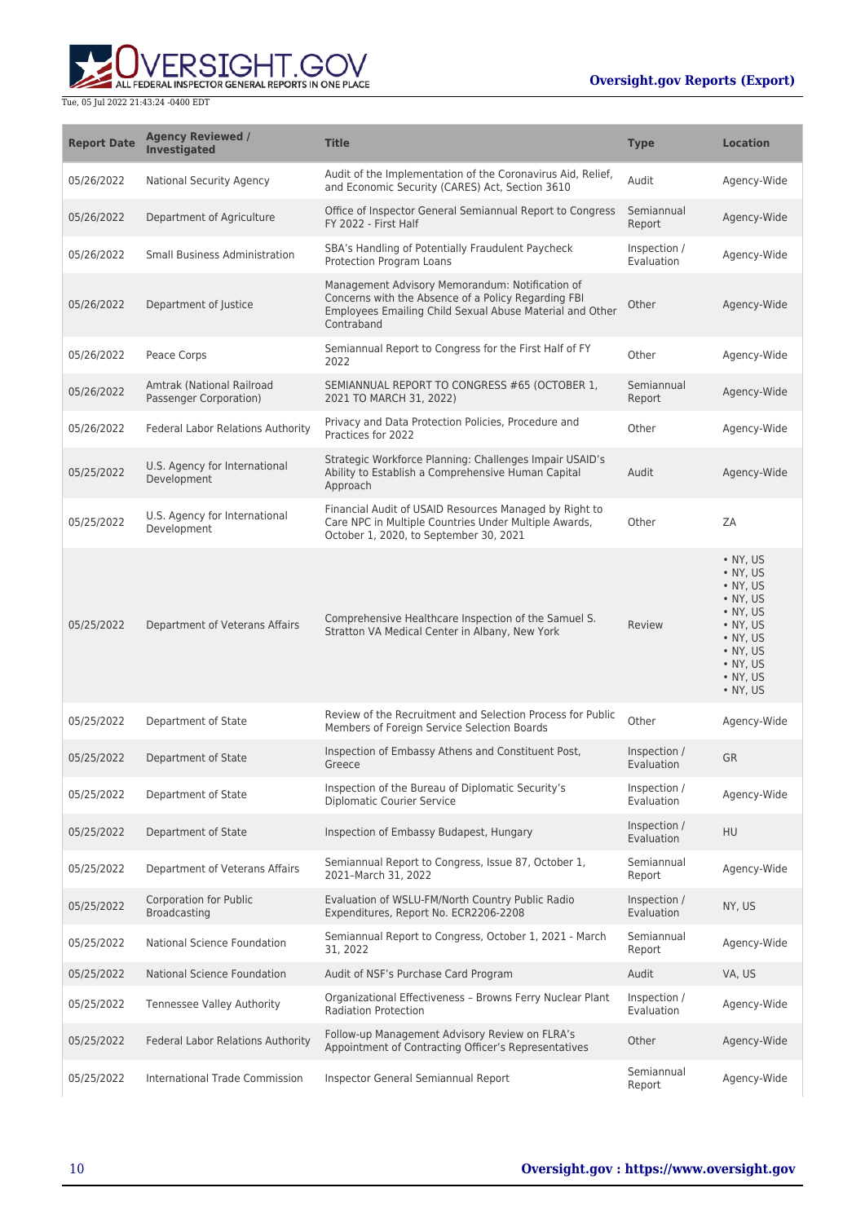

| <b>Report Date</b> | <b>Agency Reviewed /</b><br><b>Investigated</b>     | <b>Title</b>                                                                                                                                                                     | <b>Type</b>                | <b>Location</b>                                                                                                                                                          |
|--------------------|-----------------------------------------------------|----------------------------------------------------------------------------------------------------------------------------------------------------------------------------------|----------------------------|--------------------------------------------------------------------------------------------------------------------------------------------------------------------------|
| 05/26/2022         | <b>National Security Agency</b>                     | Audit of the Implementation of the Coronavirus Aid, Relief,<br>and Economic Security (CARES) Act, Section 3610                                                                   | Audit                      | Agency-Wide                                                                                                                                                              |
| 05/26/2022         | Department of Agriculture                           | Office of Inspector General Semiannual Report to Congress<br>FY 2022 - First Half                                                                                                | Semiannual<br>Report       | Agency-Wide                                                                                                                                                              |
| 05/26/2022         | <b>Small Business Administration</b>                | SBA's Handling of Potentially Fraudulent Paycheck<br>Protection Program Loans                                                                                                    | Inspection /<br>Evaluation | Agency-Wide                                                                                                                                                              |
| 05/26/2022         | Department of Justice                               | Management Advisory Memorandum: Notification of<br>Concerns with the Absence of a Policy Regarding FBI<br>Employees Emailing Child Sexual Abuse Material and Other<br>Contraband | Other                      | Agency-Wide                                                                                                                                                              |
| 05/26/2022         | Peace Corps                                         | Semiannual Report to Congress for the First Half of FY<br>2022                                                                                                                   | Other                      | Agency-Wide                                                                                                                                                              |
| 05/26/2022         | Amtrak (National Railroad<br>Passenger Corporation) | SEMIANNUAL REPORT TO CONGRESS #65 (OCTOBER 1,<br>2021 TO MARCH 31, 2022)                                                                                                         | Semiannual<br>Report       | Agency-Wide                                                                                                                                                              |
| 05/26/2022         | Federal Labor Relations Authority                   | Privacy and Data Protection Policies, Procedure and<br>Practices for 2022                                                                                                        | Other                      | Agency-Wide                                                                                                                                                              |
| 05/25/2022         | U.S. Agency for International<br>Development        | Strategic Workforce Planning: Challenges Impair USAID's<br>Ability to Establish a Comprehensive Human Capital<br>Approach                                                        | Audit                      | Agency-Wide                                                                                                                                                              |
| 05/25/2022         | U.S. Agency for International<br>Development        | Financial Audit of USAID Resources Managed by Right to<br>Care NPC in Multiple Countries Under Multiple Awards,<br>October 1, 2020, to September 30, 2021                        | Other                      | ZA                                                                                                                                                                       |
| 05/25/2022         | Department of Veterans Affairs                      | Comprehensive Healthcare Inspection of the Samuel S.<br>Stratton VA Medical Center in Albany, New York                                                                           | Review                     | • NY, US<br>• NY, US<br>$\bullet$ NY, US<br>• NY, US<br>• NY, US<br>• NY, US<br>$\bullet$ NY, US<br>$\bullet$ NY, US<br>$\bullet$ NY, US<br>$\bullet$ NY, US<br>• NY, US |
| 05/25/2022         | Department of State                                 | Review of the Recruitment and Selection Process for Public<br>Members of Foreign Service Selection Boards                                                                        | Other                      | Agency-Wide                                                                                                                                                              |
| 05/25/2022         | Department of State                                 | Inspection of Embassy Athens and Constituent Post,<br>Greece                                                                                                                     | Inspection /<br>Evaluation | <b>GR</b>                                                                                                                                                                |
| 05/25/2022         | Department of State                                 | Inspection of the Bureau of Diplomatic Security's<br>Diplomatic Courier Service                                                                                                  | Inspection /<br>Evaluation | Agency-Wide                                                                                                                                                              |
| 05/25/2022         | Department of State                                 | Inspection of Embassy Budapest, Hungary                                                                                                                                          | Inspection /<br>Evaluation | HU                                                                                                                                                                       |
| 05/25/2022         | Department of Veterans Affairs                      | Semiannual Report to Congress, Issue 87, October 1,<br>2021-March 31, 2022                                                                                                       | Semiannual<br>Report       | Agency-Wide                                                                                                                                                              |
| 05/25/2022         | <b>Corporation for Public</b><br>Broadcasting       | Evaluation of WSLU-FM/North Country Public Radio<br>Expenditures, Report No. ECR2206-2208                                                                                        | Inspection /<br>Evaluation | NY, US                                                                                                                                                                   |
| 05/25/2022         | National Science Foundation                         | Semiannual Report to Congress, October 1, 2021 - March<br>31, 2022                                                                                                               | Semiannual<br>Report       | Agency-Wide                                                                                                                                                              |
| 05/25/2022         | National Science Foundation                         | Audit of NSF's Purchase Card Program                                                                                                                                             | Audit                      | VA, US                                                                                                                                                                   |
| 05/25/2022         | Tennessee Valley Authority                          | Organizational Effectiveness - Browns Ferry Nuclear Plant<br><b>Radiation Protection</b>                                                                                         | Inspection /<br>Evaluation | Agency-Wide                                                                                                                                                              |
| 05/25/2022         | Federal Labor Relations Authority                   | Follow-up Management Advisory Review on FLRA's<br>Appointment of Contracting Officer's Representatives                                                                           | Other                      | Agency-Wide                                                                                                                                                              |
| 05/25/2022         | International Trade Commission                      | Inspector General Semiannual Report                                                                                                                                              | Semiannual<br>Report       | Agency-Wide                                                                                                                                                              |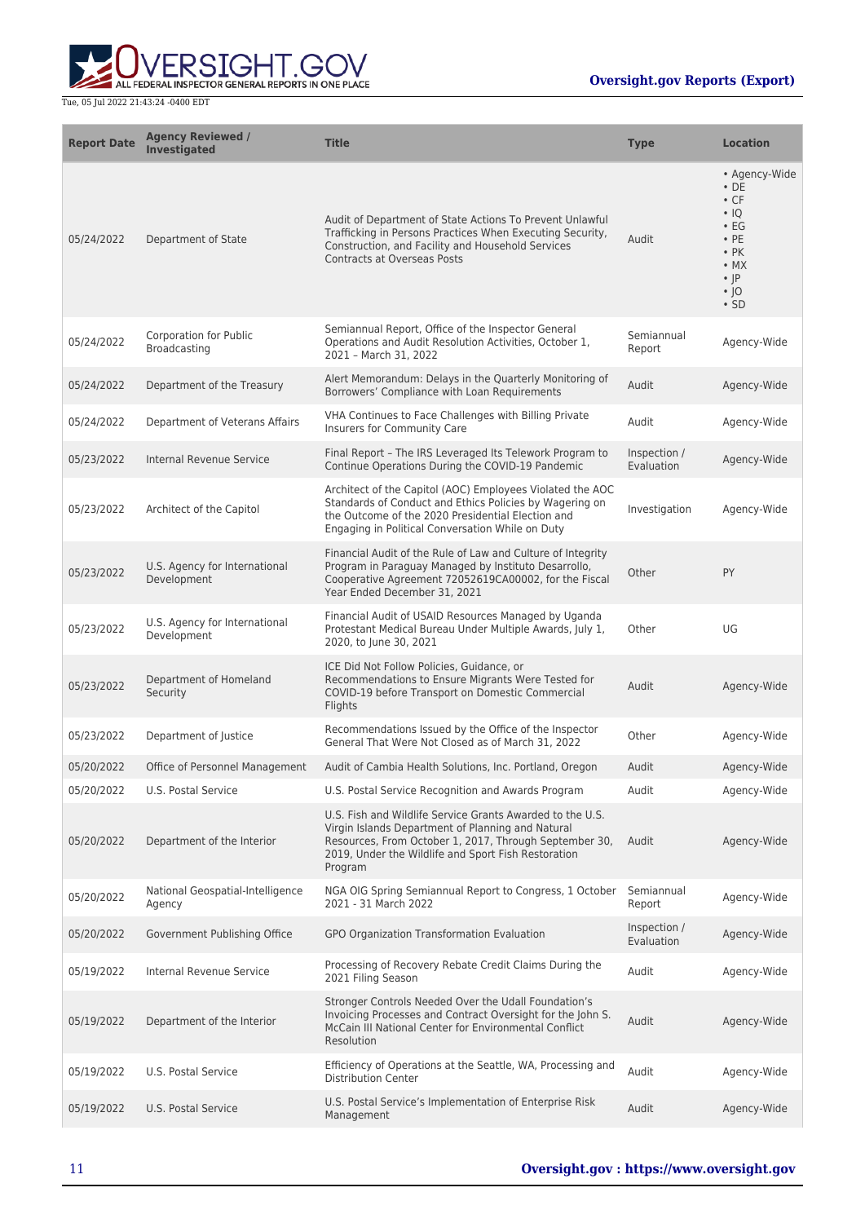

| <b>Report Date</b> | <b>Agency Reviewed /</b><br><b>Investigated</b> | <b>Title</b>                                                                                                                                                                                                                               | <b>Type</b>                | <b>Location</b>                                                                                                                                             |
|--------------------|-------------------------------------------------|--------------------------------------------------------------------------------------------------------------------------------------------------------------------------------------------------------------------------------------------|----------------------------|-------------------------------------------------------------------------------------------------------------------------------------------------------------|
| 05/24/2022         | Department of State                             | Audit of Department of State Actions To Prevent Unlawful<br>Trafficking in Persons Practices When Executing Security,<br>Construction, and Facility and Household Services<br><b>Contracts at Overseas Posts</b>                           | Audit                      | • Agency-Wide<br>$\cdot$ DE<br>$\cdot$ CF<br>$\cdot$ 10<br>$\cdot$ EG<br>$\cdot$ PE<br>$\cdot$ PK<br>$\bullet$ MX<br>$\cdot$  P<br>$\cdot$  O<br>$\cdot$ SD |
| 05/24/2022         | Corporation for Public<br>Broadcasting          | Semiannual Report, Office of the Inspector General<br>Operations and Audit Resolution Activities, October 1,<br>2021 - March 31, 2022                                                                                                      | Semiannual<br>Report       | Agency-Wide                                                                                                                                                 |
| 05/24/2022         | Department of the Treasury                      | Alert Memorandum: Delays in the Quarterly Monitoring of<br>Borrowers' Compliance with Loan Requirements                                                                                                                                    | Audit                      | Agency-Wide                                                                                                                                                 |
| 05/24/2022         | Department of Veterans Affairs                  | VHA Continues to Face Challenges with Billing Private<br>Insurers for Community Care                                                                                                                                                       | Audit                      | Agency-Wide                                                                                                                                                 |
| 05/23/2022         | Internal Revenue Service                        | Final Report - The IRS Leveraged Its Telework Program to<br>Continue Operations During the COVID-19 Pandemic                                                                                                                               | Inspection /<br>Evaluation | Agency-Wide                                                                                                                                                 |
| 05/23/2022         | Architect of the Capitol                        | Architect of the Capitol (AOC) Employees Violated the AOC<br>Standards of Conduct and Ethics Policies by Wagering on<br>the Outcome of the 2020 Presidential Election and<br>Engaging in Political Conversation While on Duty              | Investigation              | Agency-Wide                                                                                                                                                 |
| 05/23/2022         | U.S. Agency for International<br>Development    | Financial Audit of the Rule of Law and Culture of Integrity<br>Program in Paraguay Managed by Instituto Desarrollo,<br>Cooperative Agreement 72052619CA00002, for the Fiscal<br>Year Ended December 31, 2021                               | Other                      | PY                                                                                                                                                          |
| 05/23/2022         | U.S. Agency for International<br>Development    | Financial Audit of USAID Resources Managed by Uganda<br>Protestant Medical Bureau Under Multiple Awards, July 1,<br>2020, to June 30, 2021                                                                                                 | Other                      | UG                                                                                                                                                          |
| 05/23/2022         | Department of Homeland<br>Security              | ICE Did Not Follow Policies, Guidance, or<br>Recommendations to Ensure Migrants Were Tested for<br>COVID-19 before Transport on Domestic Commercial<br>Flights                                                                             | Audit                      | Agency-Wide                                                                                                                                                 |
| 05/23/2022         | Department of Justice                           | Recommendations Issued by the Office of the Inspector<br>General That Were Not Closed as of March 31, 2022                                                                                                                                 | Other                      | Agency-Wide                                                                                                                                                 |
| 05/20/2022         | Office of Personnel Management                  | Audit of Cambia Health Solutions, Inc. Portland, Oregon                                                                                                                                                                                    | Audit                      | Agency-Wide                                                                                                                                                 |
| 05/20/2022         | U.S. Postal Service                             | U.S. Postal Service Recognition and Awards Program                                                                                                                                                                                         | Audit                      | Agency-Wide                                                                                                                                                 |
| 05/20/2022         | Department of the Interior                      | U.S. Fish and Wildlife Service Grants Awarded to the U.S.<br>Virgin Islands Department of Planning and Natural<br>Resources, From October 1, 2017, Through September 30,<br>2019, Under the Wildlife and Sport Fish Restoration<br>Program | Audit                      | Agency-Wide                                                                                                                                                 |
| 05/20/2022         | National Geospatial-Intelligence<br>Agency      | NGA OIG Spring Semiannual Report to Congress, 1 October<br>2021 - 31 March 2022                                                                                                                                                            | Semiannual<br>Report       | Agency-Wide                                                                                                                                                 |
| 05/20/2022         | Government Publishing Office                    | GPO Organization Transformation Evaluation                                                                                                                                                                                                 | Inspection /<br>Evaluation | Agency-Wide                                                                                                                                                 |
| 05/19/2022         | Internal Revenue Service                        | Processing of Recovery Rebate Credit Claims During the<br>2021 Filing Season                                                                                                                                                               | Audit                      | Agency-Wide                                                                                                                                                 |
| 05/19/2022         | Department of the Interior                      | Stronger Controls Needed Over the Udall Foundation's<br>Invoicing Processes and Contract Oversight for the John S.<br>McCain III National Center for Environmental Conflict<br>Resolution                                                  | Audit                      | Agency-Wide                                                                                                                                                 |
| 05/19/2022         | U.S. Postal Service                             | Efficiency of Operations at the Seattle, WA, Processing and<br><b>Distribution Center</b>                                                                                                                                                  | Audit                      | Agency-Wide                                                                                                                                                 |
| 05/19/2022         | U.S. Postal Service                             | U.S. Postal Service's Implementation of Enterprise Risk<br>Management                                                                                                                                                                      | Audit                      | Agency-Wide                                                                                                                                                 |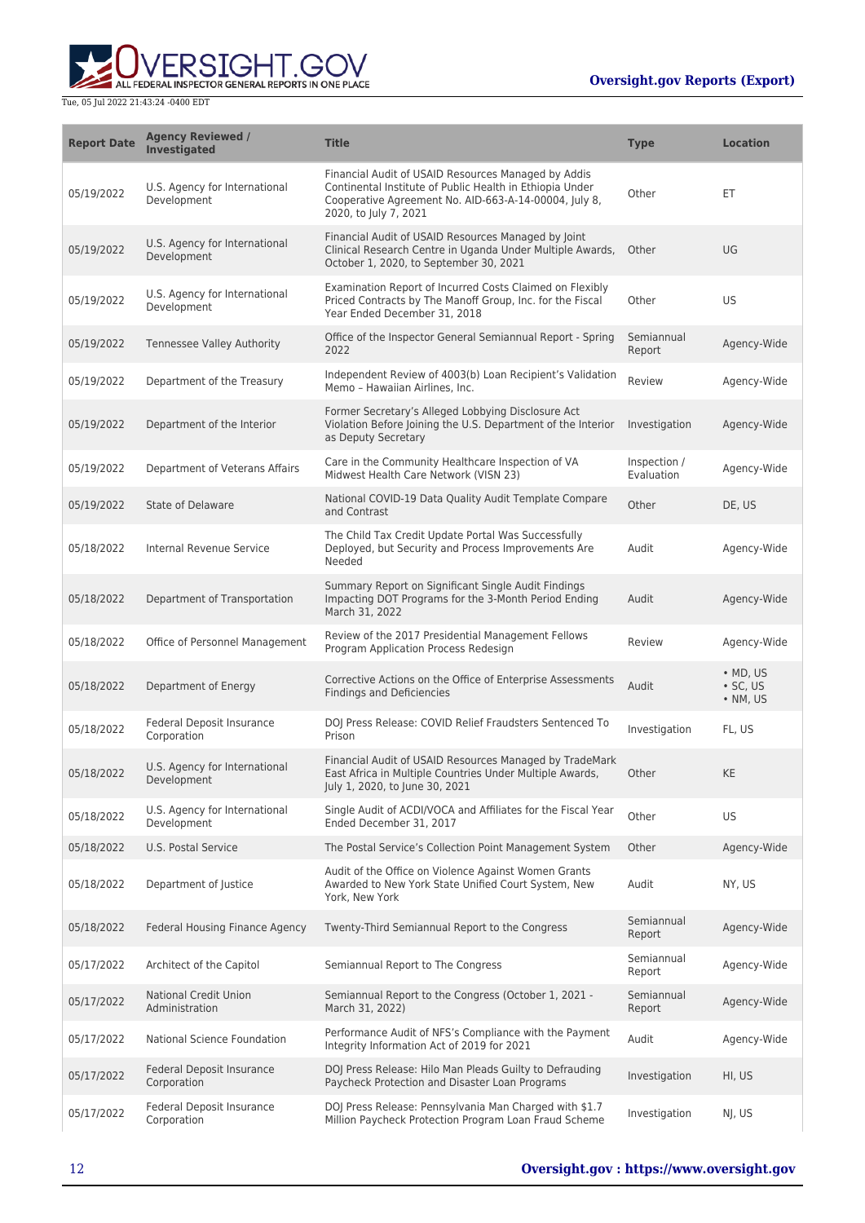

| <b>Report Date</b> | <b>Agency Reviewed /</b><br><b>Investigated</b> | <b>Title</b>                                                                                                                                                                                      | <b>Type</b>                | <b>Location</b>                                        |
|--------------------|-------------------------------------------------|---------------------------------------------------------------------------------------------------------------------------------------------------------------------------------------------------|----------------------------|--------------------------------------------------------|
| 05/19/2022         | U.S. Agency for International<br>Development    | Financial Audit of USAID Resources Managed by Addis<br>Continental Institute of Public Health in Ethiopia Under<br>Cooperative Agreement No. AID-663-A-14-00004, July 8,<br>2020, to July 7, 2021 | Other                      | ЕT                                                     |
| 05/19/2022         | U.S. Agency for International<br>Development    | Financial Audit of USAID Resources Managed by Joint<br>Clinical Research Centre in Uganda Under Multiple Awards,<br>October 1, 2020, to September 30, 2021                                        | Other                      | UG                                                     |
| 05/19/2022         | U.S. Agency for International<br>Development    | Examination Report of Incurred Costs Claimed on Flexibly<br>Priced Contracts by The Manoff Group, Inc. for the Fiscal<br>Year Ended December 31, 2018                                             | Other                      | US.                                                    |
| 05/19/2022         | Tennessee Valley Authority                      | Office of the Inspector General Semiannual Report - Spring<br>2022                                                                                                                                | Semiannual<br>Report       | Agency-Wide                                            |
| 05/19/2022         | Department of the Treasury                      | Independent Review of 4003(b) Loan Recipient's Validation<br>Memo - Hawaiian Airlines, Inc.                                                                                                       | Review                     | Agency-Wide                                            |
| 05/19/2022         | Department of the Interior                      | Former Secretary's Alleged Lobbying Disclosure Act<br>Violation Before Joining the U.S. Department of the Interior<br>as Deputy Secretary                                                         | Investigation              | Agency-Wide                                            |
| 05/19/2022         | Department of Veterans Affairs                  | Care in the Community Healthcare Inspection of VA<br>Midwest Health Care Network (VISN 23)                                                                                                        | Inspection /<br>Evaluation | Agency-Wide                                            |
| 05/19/2022         | State of Delaware                               | National COVID-19 Data Quality Audit Template Compare<br>and Contrast                                                                                                                             | Other                      | DE, US                                                 |
| 05/18/2022         | <b>Internal Revenue Service</b>                 | The Child Tax Credit Update Portal Was Successfully<br>Deployed, but Security and Process Improvements Are<br>Needed                                                                              | Audit                      | Agency-Wide                                            |
| 05/18/2022         | Department of Transportation                    | Summary Report on Significant Single Audit Findings<br>Impacting DOT Programs for the 3-Month Period Ending<br>March 31, 2022                                                                     | Audit                      | Agency-Wide                                            |
| 05/18/2022         | Office of Personnel Management                  | Review of the 2017 Presidential Management Fellows<br>Program Application Process Redesign                                                                                                        | Review                     | Agency-Wide                                            |
| 05/18/2022         | Department of Energy                            | Corrective Actions on the Office of Enterprise Assessments<br><b>Findings and Deficiencies</b>                                                                                                    | Audit                      | $\bullet$ MD, US<br>$\cdot$ SC, US<br>$\bullet$ NM, US |
| 05/18/2022         | Federal Deposit Insurance<br>Corporation        | DOJ Press Release: COVID Relief Fraudsters Sentenced To<br>Prison                                                                                                                                 | Investigation              | FL, US                                                 |
| 05/18/2022         | U.S. Agency for International<br>Development    | Financial Audit of USAID Resources Managed by TradeMark<br>East Africa in Multiple Countries Under Multiple Awards,<br>July 1, 2020, to June 30, 2021                                             | Other                      | <b>KE</b>                                              |
| 05/18/2022         | U.S. Agency for International<br>Development    | Single Audit of ACDI/VOCA and Affiliates for the Fiscal Year<br>Ended December 31, 2017                                                                                                           | Other                      | US.                                                    |
| 05/18/2022         | U.S. Postal Service                             | The Postal Service's Collection Point Management System                                                                                                                                           | Other                      | Agency-Wide                                            |
| 05/18/2022         | Department of Justice                           | Audit of the Office on Violence Against Women Grants<br>Awarded to New York State Unified Court System, New<br>York, New York                                                                     | Audit                      | NY, US                                                 |
| 05/18/2022         | Federal Housing Finance Agency                  | Twenty-Third Semiannual Report to the Congress                                                                                                                                                    | Semiannual<br>Report       | Agency-Wide                                            |
| 05/17/2022         | Architect of the Capitol                        | Semiannual Report to The Congress                                                                                                                                                                 | Semiannual<br>Report       | Agency-Wide                                            |
| 05/17/2022         | <b>National Credit Union</b><br>Administration  | Semiannual Report to the Congress (October 1, 2021 -<br>March 31, 2022)                                                                                                                           | Semiannual<br>Report       | Agency-Wide                                            |
| 05/17/2022         | National Science Foundation                     | Performance Audit of NFS's Compliance with the Payment<br>Integrity Information Act of 2019 for 2021                                                                                              | Audit                      | Agency-Wide                                            |
| 05/17/2022         | Federal Deposit Insurance<br>Corporation        | DOJ Press Release: Hilo Man Pleads Guilty to Defrauding<br>Paycheck Protection and Disaster Loan Programs                                                                                         | Investigation              | HI, US                                                 |
| 05/17/2022         | <b>Federal Deposit Insurance</b><br>Corporation | DOJ Press Release: Pennsylvania Man Charged with \$1.7<br>Million Paycheck Protection Program Loan Fraud Scheme                                                                                   | Investigation              | NJ, US                                                 |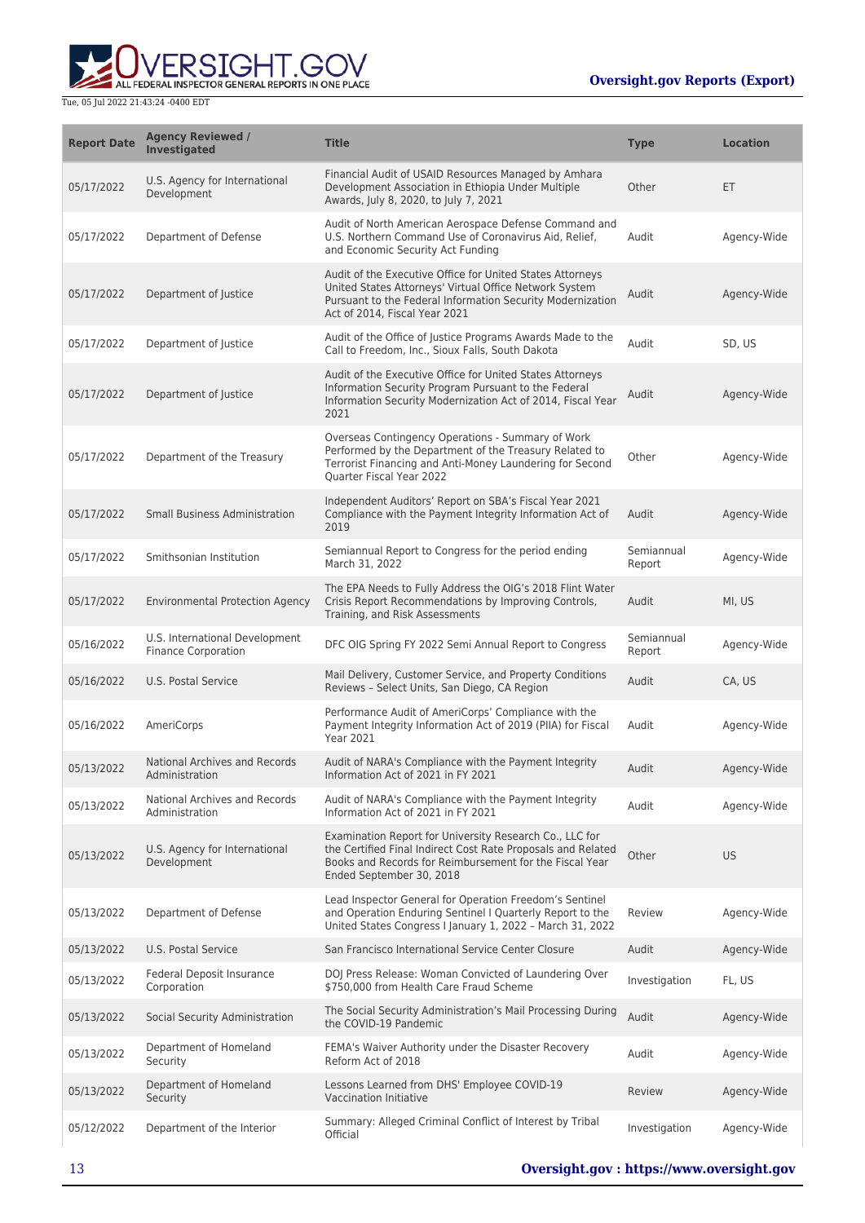

| <b>Report Date</b> | <b>Agency Reviewed /</b><br><b>Investigated</b>              | <b>Title</b>                                                                                                                                                                                                       | <b>Type</b>          | <b>Location</b> |
|--------------------|--------------------------------------------------------------|--------------------------------------------------------------------------------------------------------------------------------------------------------------------------------------------------------------------|----------------------|-----------------|
| 05/17/2022         | U.S. Agency for International<br>Development                 | Financial Audit of USAID Resources Managed by Amhara<br>Development Association in Ethiopia Under Multiple<br>Awards, July 8, 2020, to July 7, 2021                                                                | Other                | ET              |
| 05/17/2022         | Department of Defense                                        | Audit of North American Aerospace Defense Command and<br>U.S. Northern Command Use of Coronavirus Aid, Relief,<br>and Economic Security Act Funding                                                                | Audit                | Agency-Wide     |
| 05/17/2022         | Department of Justice                                        | Audit of the Executive Office for United States Attorneys<br>United States Attorneys' Virtual Office Network System<br>Pursuant to the Federal Information Security Modernization<br>Act of 2014, Fiscal Year 2021 | Audit                | Agency-Wide     |
| 05/17/2022         | Department of Justice                                        | Audit of the Office of Justice Programs Awards Made to the<br>Call to Freedom, Inc., Sioux Falls, South Dakota                                                                                                     | Audit                | SD, US          |
| 05/17/2022         | Department of Justice                                        | Audit of the Executive Office for United States Attorneys<br>Information Security Program Pursuant to the Federal<br>Information Security Modernization Act of 2014, Fiscal Year<br>2021                           | Audit                | Agency-Wide     |
| 05/17/2022         | Department of the Treasury                                   | Overseas Contingency Operations - Summary of Work<br>Performed by the Department of the Treasury Related to<br>Terrorist Financing and Anti-Money Laundering for Second<br>Quarter Fiscal Year 2022                | Other                | Agency-Wide     |
| 05/17/2022         | <b>Small Business Administration</b>                         | Independent Auditors' Report on SBA's Fiscal Year 2021<br>Compliance with the Payment Integrity Information Act of<br>2019                                                                                         | Audit                | Agency-Wide     |
| 05/17/2022         | Smithsonian Institution                                      | Semiannual Report to Congress for the period ending<br>March 31, 2022                                                                                                                                              | Semiannual<br>Report | Agency-Wide     |
| 05/17/2022         | <b>Environmental Protection Agency</b>                       | The EPA Needs to Fully Address the OIG's 2018 Flint Water<br>Crisis Report Recommendations by Improving Controls,<br>Training, and Risk Assessments                                                                | Audit                | MI, US          |
| 05/16/2022         | U.S. International Development<br><b>Finance Corporation</b> | DFC OIG Spring FY 2022 Semi Annual Report to Congress                                                                                                                                                              | Semiannual<br>Report | Agency-Wide     |
| 05/16/2022         | U.S. Postal Service                                          | Mail Delivery, Customer Service, and Property Conditions<br>Reviews - Select Units, San Diego, CA Region                                                                                                           | Audit                | CA, US          |
| 05/16/2022         | AmeriCorps                                                   | Performance Audit of AmeriCorps' Compliance with the<br>Payment Integrity Information Act of 2019 (PIIA) for Fiscal<br><b>Year 2021</b>                                                                            | Audit                | Agency-Wide     |
| 05/13/2022         | National Archives and Records<br>Administration              | Audit of NARA's Compliance with the Payment Integrity<br>Information Act of 2021 in FY 2021                                                                                                                        | Audit                | Agency-Wide     |
| 05/13/2022         | National Archives and Records<br>Administration              | Audit of NARA's Compliance with the Payment Integrity<br>Information Act of 2021 in FY 2021                                                                                                                        | Audit                | Agency-Wide     |
| 05/13/2022         | U.S. Agency for International<br>Development                 | Examination Report for University Research Co., LLC for<br>the Certified Final Indirect Cost Rate Proposals and Related<br>Books and Records for Reimbursement for the Fiscal Year<br>Ended September 30, 2018     | Other                | <b>US</b>       |
| 05/13/2022         | Department of Defense                                        | Lead Inspector General for Operation Freedom's Sentinel<br>and Operation Enduring Sentinel I Quarterly Report to the<br>United States Congress I January 1, 2022 - March 31, 2022                                  | Review               | Agency-Wide     |
| 05/13/2022         | <b>U.S. Postal Service</b>                                   | San Francisco International Service Center Closure                                                                                                                                                                 | Audit                | Agency-Wide     |
| 05/13/2022         | Federal Deposit Insurance<br>Corporation                     | DOJ Press Release: Woman Convicted of Laundering Over<br>\$750,000 from Health Care Fraud Scheme                                                                                                                   | Investigation        | FL, US          |
| 05/13/2022         | Social Security Administration                               | The Social Security Administration's Mail Processing During<br>the COVID-19 Pandemic                                                                                                                               | Audit                | Agency-Wide     |
| 05/13/2022         | Department of Homeland<br>Security                           | FEMA's Waiver Authority under the Disaster Recovery<br>Reform Act of 2018                                                                                                                                          | Audit                | Agency-Wide     |
| 05/13/2022         | Department of Homeland<br>Security                           | Lessons Learned from DHS' Employee COVID-19<br>Vaccination Initiative                                                                                                                                              | Review               | Agency-Wide     |
| 05/12/2022         | Department of the Interior                                   | Summary: Alleged Criminal Conflict of Interest by Tribal<br>Official                                                                                                                                               | Investigation        | Agency-Wide     |